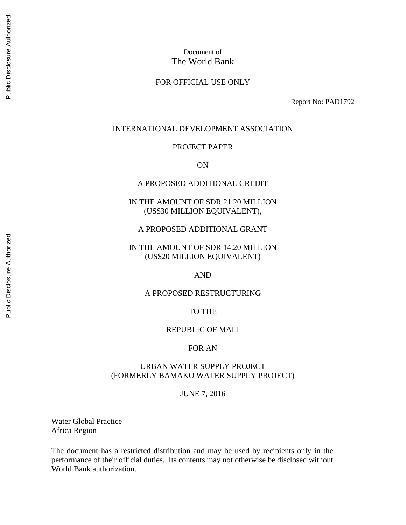### Document of The World Bank

### FOR OFFICIAL USE ONLY

Report No: PAD1792

#### INTERNATIONAL DEVELOPMENT ASSOCIATION

#### PROJECT PAPER

ON

#### A PROPOSED ADDITIONAL CREDIT

IN THE AMOUNT OF SDR 21.20 MILLION (US\$30 MILLION EQUIVALENT),

A PROPOSED ADDITIONAL GRANT

IN THE AMOUNT OF SDR 14.20 MILLION (US\$20 MILLION EQUIVALENT)

AND

#### A PROPOSED RESTRUCTURING

#### TO THE

#### REPUBLIC OF MALI

#### FOR AN

#### URBAN WATER SUPPLY PROJECT (FORMERLY BAMAKO WATER SUPPLY PROJECT)

#### JUNE 7, 2016

Water Global Practice Africa Region

The document has a restricted distribution and may be used by recipients only in the performance of their official duties. Its contents may not otherwise be disclosed without World Bank authorization.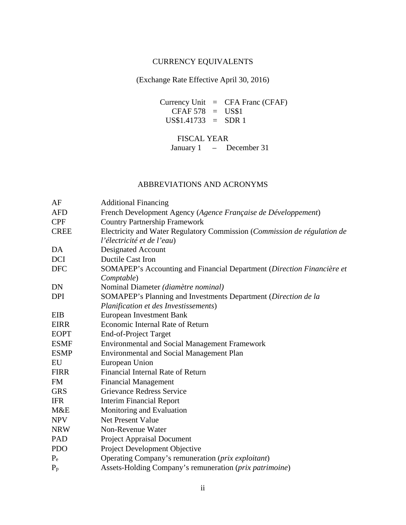### CURRENCY EQUIVALENTS

(Exchange Rate Effective April 30, 2016)

Currency Unit = CFA Franc (CFAF)  $CFAF 578 = US$1$ US\$1.41733 = SDR 1

FISCAL YEAR

January 1 – December 31

# ABBREVIATIONS AND ACRONYMS

| AF          | <b>Additional Financing</b>                                              |
|-------------|--------------------------------------------------------------------------|
| <b>AFD</b>  | French Development Agency (Agence Française de Développement)            |
| <b>CPF</b>  | <b>Country Partnership Framework</b>                                     |
| <b>CREE</b> | Electricity and Water Regulatory Commission (Commission de régulation de |
|             | l'électricité et de l'eau)                                               |
| DA          | Designated Account                                                       |
| <b>DCI</b>  | <b>Ductile Cast Iron</b>                                                 |
| <b>DFC</b>  | SOMAPEP's Accounting and Financial Department (Direction Financière et   |
|             | Comptable)                                                               |
| DN          | Nominal Diameter (diamètre nominal)                                      |
| <b>DPI</b>  | SOMAPEP's Planning and Investments Department (Direction de la           |
|             | Planification et des Investissements)                                    |
| EIB         | <b>European Investment Bank</b>                                          |
| <b>EIRR</b> | Economic Internal Rate of Return                                         |
| <b>EOPT</b> | End-of-Project Target                                                    |
| <b>ESMF</b> | <b>Environmental and Social Management Framework</b>                     |
| <b>ESMP</b> | <b>Environmental and Social Management Plan</b>                          |
| EU          | European Union                                                           |
| <b>FIRR</b> | Financial Internal Rate of Return                                        |
| <b>FM</b>   | <b>Financial Management</b>                                              |
| <b>GRS</b>  | <b>Grievance Redress Service</b>                                         |
| <b>IFR</b>  | <b>Interim Financial Report</b>                                          |
| M&E         | Monitoring and Evaluation                                                |
| <b>NPV</b>  | <b>Net Present Value</b>                                                 |
| <b>NRW</b>  | Non-Revenue Water                                                        |
| PAD         | <b>Project Appraisal Document</b>                                        |
| <b>PDO</b>  | Project Development Objective                                            |
| $P_{e}$     | Operating Company's remuneration (prix exploitant)                       |
| $P_p$       | Assets-Holding Company's remuneration (prix patrimoine)                  |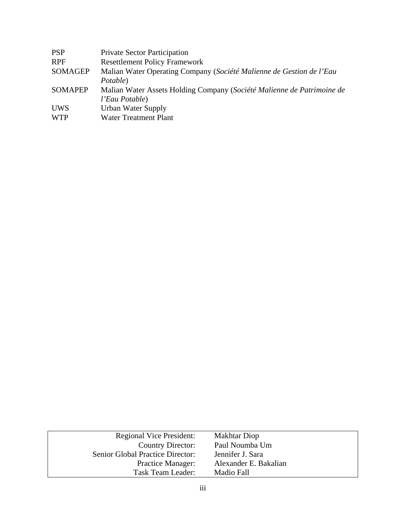| <b>PSP</b>     | <b>Private Sector Participation</b>                                    |
|----------------|------------------------------------------------------------------------|
| <b>RPF</b>     | <b>Resettlement Policy Framework</b>                                   |
| <b>SOMAGEP</b> | Malian Water Operating Company (Société Malienne de Gestion de l'Eau   |
|                | Potable)                                                               |
| <b>SOMAPEP</b> | Malian Water Assets Holding Company (Société Malienne de Patrimoine de |
|                | l'Eau Potable)                                                         |
| <b>UWS</b>     | Urban Water Supply                                                     |
| <b>WTP</b>     | <b>Water Treatment Plant</b>                                           |
|                |                                                                        |

| <b>Regional Vice President:</b>  | <b>Makhtar Diop</b>   |
|----------------------------------|-----------------------|
| <b>Country Director:</b>         | Paul Noumba Um        |
| Senior Global Practice Director: | Jennifer J. Sara      |
| <b>Practice Manager:</b>         | Alexander E. Bakalian |
| Task Team Leader:                | Madio Fall            |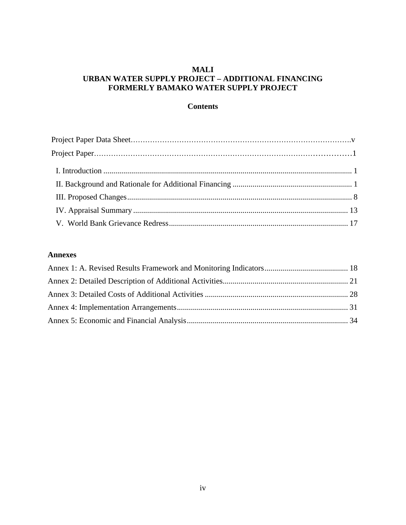### **MALI URBAN WATER SUPPLY PROJECT – ADDITIONAL FINANCING FORMERLY BAMAKO WATER SUPPLY PROJECT**

### **Contents**

### **Annexes**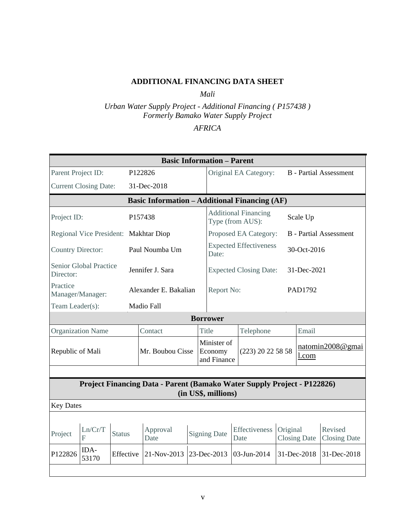### **ADDITIONAL FINANCING DATA SHEET**

*Mali*

*Urban Water Supply Project - Additional Financing ( P157438 ) Formerly Bamako Water Supply Project* 

### *AFRICA*

|                          |                                           |               |                                                                         |  | <b>Basic Information - Parent</b>     |                                                 |          |                           |                                |  |
|--------------------------|-------------------------------------------|---------------|-------------------------------------------------------------------------|--|---------------------------------------|-------------------------------------------------|----------|---------------------------|--------------------------------|--|
| Parent Project ID:       |                                           |               | P122826                                                                 |  |                                       | Original EA Category:                           |          |                           | <b>B</b> - Partial Assessment  |  |
|                          | <b>Current Closing Date:</b>              |               | 31-Dec-2018                                                             |  |                                       |                                                 |          |                           |                                |  |
|                          |                                           |               | <b>Basic Information - Additional Financing (AF)</b>                    |  |                                       |                                                 |          |                           |                                |  |
| Project ID:              |                                           |               | P157438                                                                 |  |                                       | <b>Additional Financing</b><br>Type (from AUS): |          | Scale Up                  |                                |  |
|                          | Regional Vice President: Makhtar Diop     |               |                                                                         |  |                                       | Proposed EA Category:                           |          |                           | <b>B</b> - Partial Assessment  |  |
| <b>Country Director:</b> |                                           |               | Paul Noumba Um                                                          |  | Date:                                 | <b>Expected Effectiveness</b>                   |          | 30-Oct-2016               |                                |  |
| Director:                | <b>Senior Global Practice</b>             |               | Jennifer J. Sara                                                        |  | <b>Expected Closing Date:</b>         |                                                 |          | 31-Dec-2021               |                                |  |
| Practice                 | Alexander E. Bakalian<br>Manager/Manager: |               |                                                                         |  | Report No:                            |                                                 |          | PAD1792                   |                                |  |
| Team Leader(s):          |                                           |               | <b>Madio Fall</b>                                                       |  |                                       |                                                 |          |                           |                                |  |
|                          |                                           |               |                                                                         |  | <b>Borrower</b>                       |                                                 |          |                           |                                |  |
|                          | <b>Organization Name</b>                  |               | Contact                                                                 |  | <b>Title</b>                          | Telephone                                       |          | Email                     |                                |  |
| Republic of Mali         |                                           |               | Mr. Boubou Cisse                                                        |  | Minister of<br>Economy<br>and Finance | (223) 20 22 58 58                               |          | natomin2008@gmai<br>l.com |                                |  |
|                          |                                           |               |                                                                         |  |                                       |                                                 |          |                           |                                |  |
|                          |                                           |               | Project Financing Data - Parent (Bamako Water Supply Project - P122826) |  | (in US\$, millions)                   |                                                 |          |                           |                                |  |
| <b>Key Dates</b>         |                                           |               |                                                                         |  |                                       |                                                 |          |                           |                                |  |
|                          |                                           |               |                                                                         |  |                                       |                                                 |          |                           |                                |  |
| Project                  | Ln/Cr/T<br>F                              | <b>Status</b> | Approval<br>Date                                                        |  | <b>Signing Date</b>                   | Effectiveness<br>Date                           | Original | <b>Closing Date</b>       | Revised<br><b>Closing Date</b> |  |
| P122826                  | IDA-<br>53170                             | Effective     | 21-Nov-2013                                                             |  | 23-Dec-2013                           | 03-Jun-2014                                     |          | 31-Dec-2018               | 31-Dec-2018                    |  |
|                          |                                           |               |                                                                         |  |                                       |                                                 |          |                           |                                |  |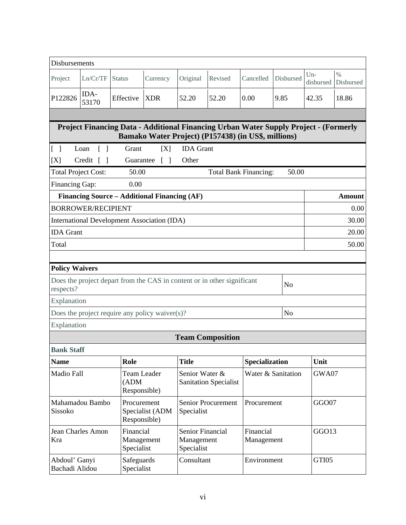| Disbursements                     |                           |                                             |                                                    |                                                     |                                                                                                                                             |                              |                    |                    |                   |
|-----------------------------------|---------------------------|---------------------------------------------|----------------------------------------------------|-----------------------------------------------------|---------------------------------------------------------------------------------------------------------------------------------------------|------------------------------|--------------------|--------------------|-------------------|
| Project                           | Ln/Cr/TF                  | <b>Status</b>                               | Currency                                           | Original                                            | Revised                                                                                                                                     | Cancelled                    | Disbursed          | $Un-$<br>disbursed | $\%$<br>Disbursed |
| P122826                           | IDA-<br>53170             | Effective                                   | <b>XDR</b>                                         | 52.20                                               | 52.20                                                                                                                                       | 0.00                         | 9.85               | 42.35              | 18.86             |
|                                   |                           |                                             |                                                    |                                                     |                                                                                                                                             |                              |                    |                    |                   |
|                                   |                           |                                             |                                                    |                                                     | Project Financing Data - Additional Financing Urban Water Supply Project - (Formerly<br>Bamako Water Project) (P157438) (in US\$, millions) |                              |                    |                    |                   |
| $\begin{bmatrix} 1 \end{bmatrix}$ | Loan<br>$\Box$            | Grant                                       | [X]                                                | <b>IDA</b> Grant                                    |                                                                                                                                             |                              |                    |                    |                   |
| [X]                               | Credit $\lceil \; \rceil$ | Guarantee                                   | $\begin{bmatrix} \end{bmatrix}$                    | Other                                               |                                                                                                                                             |                              |                    |                    |                   |
| <b>Total Project Cost:</b>        |                           | 50.00                                       |                                                    |                                                     |                                                                                                                                             | <b>Total Bank Financing:</b> | 50.00              |                    |                   |
| Financing Gap:                    |                           | 0.00                                        |                                                    |                                                     |                                                                                                                                             |                              |                    |                    |                   |
|                                   |                           |                                             | Financing Source – Additional Financing (AF)       |                                                     |                                                                                                                                             |                              |                    |                    | <b>Amount</b>     |
|                                   | <b>BORROWER/RECIPIENT</b> |                                             |                                                    |                                                     |                                                                                                                                             |                              |                    |                    | 0.00              |
|                                   |                           |                                             | <b>International Development Association (IDA)</b> |                                                     |                                                                                                                                             |                              |                    |                    | 30.00             |
| <b>IDA</b> Grant                  |                           |                                             |                                                    |                                                     |                                                                                                                                             |                              |                    | 20.00              |                   |
| Total                             |                           |                                             |                                                    |                                                     |                                                                                                                                             |                              |                    |                    | 50.00             |
|                                   |                           |                                             |                                                    |                                                     |                                                                                                                                             |                              |                    |                    |                   |
| <b>Policy Waivers</b>             |                           |                                             |                                                    |                                                     |                                                                                                                                             |                              |                    |                    |                   |
| respects?                         |                           |                                             |                                                    |                                                     | Does the project depart from the CAS in content or in other significant                                                                     |                              | No                 |                    |                   |
| Explanation                       |                           |                                             |                                                    |                                                     |                                                                                                                                             |                              |                    |                    |                   |
|                                   |                           |                                             | Does the project require any policy waiver(s)?     |                                                     |                                                                                                                                             |                              | No                 |                    |                   |
| Explanation                       |                           |                                             |                                                    |                                                     |                                                                                                                                             |                              |                    |                    |                   |
|                                   |                           |                                             |                                                    |                                                     | <b>Team Composition</b>                                                                                                                     |                              |                    |                    |                   |
| <b>Bank Staff</b>                 |                           |                                             |                                                    |                                                     |                                                                                                                                             |                              |                    |                    |                   |
| <b>Name</b>                       |                           | Role                                        |                                                    | <b>Title</b>                                        |                                                                                                                                             | Specialization               |                    | Unit               |                   |
| Madio Fall                        |                           | <b>Team Leader</b><br>(ADM)<br>Responsible) |                                                    | Senior Water &                                      | <b>Sanitation Specialist</b>                                                                                                                |                              | Water & Sanitation | GWA07              |                   |
| Sissoko                           | Mahamadou Bambo           | Procurement<br>Responsible)                 | Specialist (ADM                                    | Specialist                                          | <b>Senior Procurement</b>                                                                                                                   | Procurement                  |                    | GGO07              |                   |
| Kra                               | Jean Charles Amon         | Financial<br>Management<br>Specialist       |                                                    | <b>Senior Financial</b><br>Management<br>Specialist |                                                                                                                                             | Financial<br>Management      |                    | GGO13              |                   |
| Abdoul' Ganyi<br>Bachadi Alidou   |                           | Safeguards<br>Specialist                    |                                                    | Consultant                                          |                                                                                                                                             | Environment                  |                    | GTI05              |                   |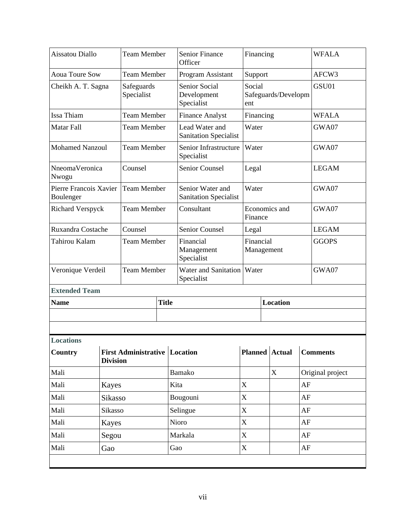| Aissatou Diallo                     |                 | <b>Team Member</b>                   |                    | <b>Senior Finance</b><br>Officer                  |  | Financing               |                     |              | <b>WFALA</b>     |
|-------------------------------------|-----------------|--------------------------------------|--------------------|---------------------------------------------------|--|-------------------------|---------------------|--------------|------------------|
| <b>Aoua Toure Sow</b>               |                 | <b>Team Member</b>                   |                    | Program Assistant                                 |  | Support                 |                     |              | AFCW3            |
| Cheikh A. T. Sagna                  |                 | Safeguards<br>Specialist             |                    | <b>Senior Social</b><br>Development<br>Specialist |  | Social<br>ent           | Safeguards/Developm |              | GSU01            |
| Issa Thiam                          |                 | <b>Team Member</b>                   |                    | <b>Finance Analyst</b>                            |  | Financing               |                     |              | <b>WFALA</b>     |
| Matar Fall                          |                 | <b>Team Member</b>                   |                    | Lead Water and<br><b>Sanitation Specialist</b>    |  | Water                   |                     |              | GWA07            |
| <b>Mohamed Nanzoul</b>              |                 | <b>Team Member</b>                   |                    | Senior Infrastructure<br>Specialist               |  | Water                   |                     |              | GWA07            |
| NneomaVeronica<br>Nwogu             |                 | Counsel                              |                    | Senior Counsel                                    |  | Legal                   |                     |              | <b>LEGAM</b>     |
| Pierre Francois Xavier<br>Boulenger |                 | <b>Team Member</b>                   |                    | Senior Water and<br><b>Sanitation Specialist</b>  |  | Water                   |                     |              | GWA07            |
| <b>Richard Verspyck</b>             |                 | <b>Team Member</b>                   |                    | Consultant                                        |  | Finance                 | Economics and       |              | GWA07            |
| Ruxandra Costache                   |                 | Counsel                              |                    | <b>Senior Counsel</b>                             |  | Legal                   |                     |              | <b>LEGAM</b>     |
| Tahirou Kalam                       |                 |                                      | <b>Team Member</b> | Financial<br>Management<br>Specialist             |  | Financial<br>Management |                     | <b>GGOPS</b> |                  |
| Veronique Verdeil                   |                 | <b>Team Member</b>                   |                    | Water and Sanitation   Water<br>Specialist        |  |                         |                     |              | GWA07            |
| <b>Extended Team</b>                |                 |                                      |                    |                                                   |  |                         |                     |              |                  |
| <b>Name</b>                         |                 |                                      | <b>Title</b>       |                                                   |  |                         | Location            |              |                  |
|                                     |                 |                                      |                    |                                                   |  |                         |                     |              |                  |
| <b>Locations</b>                    |                 |                                      |                    |                                                   |  |                         |                     |              |                  |
| Country                             | <b>Division</b> | <b>First Administrative Location</b> |                    |                                                   |  |                         | Planned Actual      |              | <b>Comments</b>  |
| Mali                                |                 |                                      |                    | Bamako                                            |  |                         | X                   |              | Original project |
| Mali                                | <b>Kayes</b>    |                                      |                    | Kita                                              |  | X                       |                     | AF           |                  |
| Mali                                | Sikasso         |                                      |                    | Bougouni                                          |  | $\mathbf X$             |                     | $\rm AF$     |                  |
| Mali                                | Sikasso         |                                      |                    | Selingue                                          |  | X                       |                     | AF           |                  |
| Mali                                | <b>Kayes</b>    |                                      |                    | Nioro                                             |  | X                       |                     | AF           |                  |
|                                     | Segou           |                                      |                    | Markala                                           |  | X                       |                     | AF           |                  |
| Mali                                |                 | Mali<br>Gao                          |                    |                                                   |  |                         |                     |              |                  |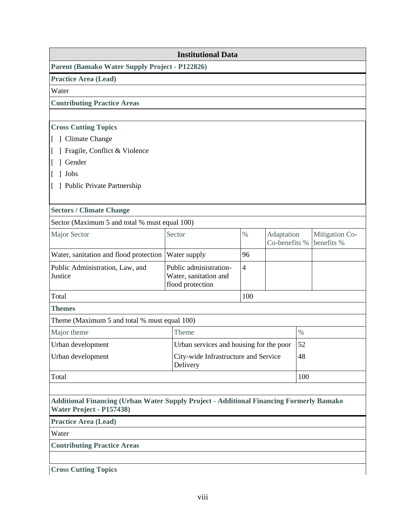|                                                                                                                            | <b>Institutional Data</b>                                           |                |                             |      |                              |  |
|----------------------------------------------------------------------------------------------------------------------------|---------------------------------------------------------------------|----------------|-----------------------------|------|------------------------------|--|
| Parent (Bamako Water Supply Project - P122826)                                                                             |                                                                     |                |                             |      |                              |  |
| Practice Area (Lead)                                                                                                       |                                                                     |                |                             |      |                              |  |
| Water                                                                                                                      |                                                                     |                |                             |      |                              |  |
| <b>Contributing Practice Areas</b>                                                                                         |                                                                     |                |                             |      |                              |  |
|                                                                                                                            |                                                                     |                |                             |      |                              |  |
| <b>Cross Cutting Topics</b>                                                                                                |                                                                     |                |                             |      |                              |  |
| [ ] Climate Change                                                                                                         |                                                                     |                |                             |      |                              |  |
| ] Fragile, Conflict & Violence                                                                                             |                                                                     |                |                             |      |                              |  |
| 1 Gender                                                                                                                   |                                                                     |                |                             |      |                              |  |
| Jobs                                                                                                                       |                                                                     |                |                             |      |                              |  |
| [ ] Public Private Partnership                                                                                             |                                                                     |                |                             |      |                              |  |
| <b>Sectors / Climate Change</b>                                                                                            |                                                                     |                |                             |      |                              |  |
| Sector (Maximum 5 and total % must equal 100)                                                                              |                                                                     |                |                             |      |                              |  |
| <b>Major Sector</b>                                                                                                        | Sector                                                              | $\%$           | Adaptation<br>Co-benefits % |      | Mitigation Co-<br>benefits % |  |
| Water, sanitation and flood protection                                                                                     | Water supply                                                        | 96             |                             |      |                              |  |
| Public Administration, Law, and<br>Justice                                                                                 | Public administration-<br>Water, sanitation and<br>flood protection | $\overline{4}$ |                             |      |                              |  |
| Total                                                                                                                      |                                                                     | 100            |                             |      |                              |  |
| <b>Themes</b>                                                                                                              |                                                                     |                |                             |      |                              |  |
| Theme (Maximum 5 and total % must equal 100)                                                                               |                                                                     |                |                             |      |                              |  |
| Major theme                                                                                                                | Theme                                                               |                |                             | $\%$ |                              |  |
| Urban development                                                                                                          | Urban services and housing for the poor                             |                | 52                          |      |                              |  |
| Urban development                                                                                                          | City-wide Infrastructure and Service<br>Delivery                    |                |                             | 48   |                              |  |
| Total                                                                                                                      |                                                                     |                |                             |      | 100                          |  |
| <b>Additional Financing (Urban Water Supply Project - Additional Financing Formerly Bamako</b><br>Water Project - P157438) |                                                                     |                |                             |      |                              |  |
| <b>Practice Area (Lead)</b>                                                                                                |                                                                     |                |                             |      |                              |  |
| Water                                                                                                                      |                                                                     |                |                             |      |                              |  |
| <b>Contributing Practice Areas</b>                                                                                         |                                                                     |                |                             |      |                              |  |
|                                                                                                                            |                                                                     |                |                             |      |                              |  |
| <b>Cross Cutting Topics</b>                                                                                                |                                                                     |                |                             |      |                              |  |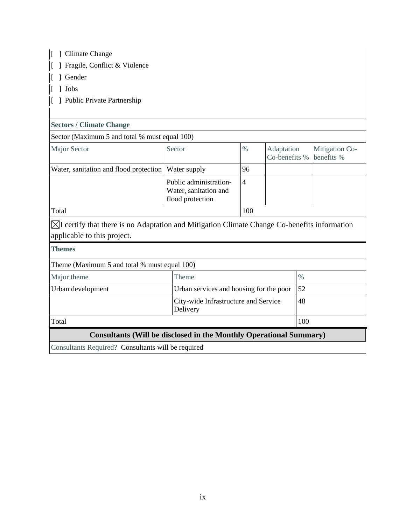| ] Climate Change                                                                                                                       |                                                                     |                |                             |      |                              |  |  |
|----------------------------------------------------------------------------------------------------------------------------------------|---------------------------------------------------------------------|----------------|-----------------------------|------|------------------------------|--|--|
| ] Fragile, Conflict & Violence                                                                                                         |                                                                     |                |                             |      |                              |  |  |
| 1 Gender                                                                                                                               |                                                                     |                |                             |      |                              |  |  |
| $\lceil \ \rceil$ Jobs                                                                                                                 |                                                                     |                |                             |      |                              |  |  |
| [ ] Public Private Partnership                                                                                                         |                                                                     |                |                             |      |                              |  |  |
|                                                                                                                                        |                                                                     |                |                             |      |                              |  |  |
| <b>Sectors / Climate Change</b>                                                                                                        |                                                                     |                |                             |      |                              |  |  |
| Sector (Maximum 5 and total % must equal 100)                                                                                          |                                                                     |                |                             |      |                              |  |  |
| <b>Major Sector</b>                                                                                                                    | Sector                                                              | $\frac{0}{0}$  | Adaptation<br>Co-benefits % |      | Mitigation Co-<br>benefits % |  |  |
| Water, sanitation and flood protection                                                                                                 | Water supply                                                        | 96             |                             |      |                              |  |  |
|                                                                                                                                        | Public administration-<br>Water, sanitation and<br>flood protection | $\overline{4}$ |                             |      |                              |  |  |
| Total                                                                                                                                  |                                                                     | 100            |                             |      |                              |  |  |
| $\boxtimes$ I certify that there is no Adaptation and Mitigation Climate Change Co-benefits information<br>applicable to this project. |                                                                     |                |                             |      |                              |  |  |
| <b>Themes</b>                                                                                                                          |                                                                     |                |                             |      |                              |  |  |
| Theme (Maximum 5 and total % must equal 100)                                                                                           |                                                                     |                |                             |      |                              |  |  |
| Major theme                                                                                                                            | Theme                                                               |                |                             | $\%$ |                              |  |  |
| Urban services and housing for the poor<br>Urban development                                                                           |                                                                     |                |                             | 52   |                              |  |  |
| City-wide Infrastructure and Service<br>Delivery                                                                                       |                                                                     |                |                             | 48   |                              |  |  |
| Total                                                                                                                                  | 100                                                                 |                |                             |      |                              |  |  |
| <b>Consultants (Will be disclosed in the Monthly Operational Summary)</b>                                                              |                                                                     |                |                             |      |                              |  |  |
| Consultants Required? Consultants will be required                                                                                     |                                                                     |                |                             |      |                              |  |  |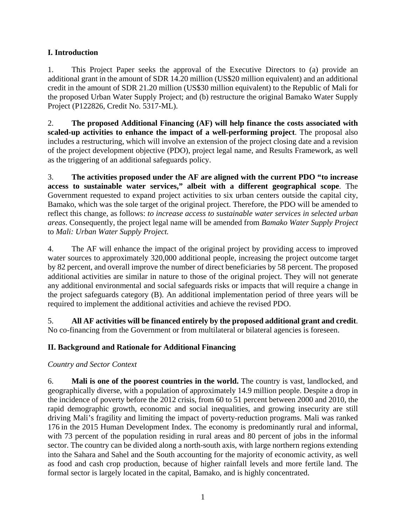## **I. Introduction**

1. This Project Paper seeks the approval of the Executive Directors to (a) provide an additional grant in the amount of SDR 14.20 million (US\$20 million equivalent) and an additional credit in the amount of SDR 21.20 million (US\$30 million equivalent) to the Republic of Mali for the proposed Urban Water Supply Project; and (b) restructure the original Bamako Water Supply Project (P122826, Credit No. 5317-ML).

2. **The proposed Additional Financing (AF) will help finance the costs associated with scaled-up activities to enhance the impact of a well-performing project**. The proposal also includes a restructuring, which will involve an extension of the project closing date and a revision of the project development objective (PDO), project legal name, and Results Framework, as well as the triggering of an additional safeguards policy.

3. **The activities proposed under the AF are aligned with the current PDO "to increase access to sustainable water services," albeit with a different geographical scope**. The Government requested to expand project activities to six urban centers outside the capital city, Bamako, which was the sole target of the original project. Therefore, the PDO will be amended to reflect this change, as follows: *to increase access to sustainable water services in selected urban areas*. Consequently, the project legal name will be amended from *Bamako Water Supply Project* to *Mali: Urban Water Supply Project.*

4. The AF will enhance the impact of the original project by providing access to improved water sources to approximately 320,000 additional people, increasing the project outcome target by 82 percent, and overall improve the number of direct beneficiaries by 58 percent. The proposed additional activities are similar in nature to those of the original project. They will not generate any additional environmental and social safeguards risks or impacts that will require a change in the project safeguards category (B). An additional implementation period of three years will be required to implement the additional activities and achieve the revised PDO.

5. **All AF activities will be financed entirely by the proposed additional grant and credit**. No co-financing from the Government or from multilateral or bilateral agencies is foreseen.

# **II. Background and Rationale for Additional Financing**

# *Country and Sector Context*

6. **Mali is one of the poorest countries in the world.** The country is vast, landlocked, and geographically diverse, with a population of approximately 14.9 million people. Despite a drop in the incidence of poverty before the 2012 crisis, from 60 to 51 percent between 2000 and 2010, the rapid demographic growth, economic and social inequalities, and growing insecurity are still driving Mali's fragility and limiting the impact of poverty-reduction programs. Mali was ranked 176 in the 2015 Human Development Index. The economy is predominantly rural and informal, with 73 percent of the population residing in rural areas and 80 percent of jobs in the informal sector. The country can be divided along a north-south axis, with large northern regions extending into the Sahara and Sahel and the South accounting for the majority of economic activity, as well as food and cash crop production, because of higher rainfall levels and more fertile land. The formal sector is largely located in the capital, Bamako, and is highly concentrated.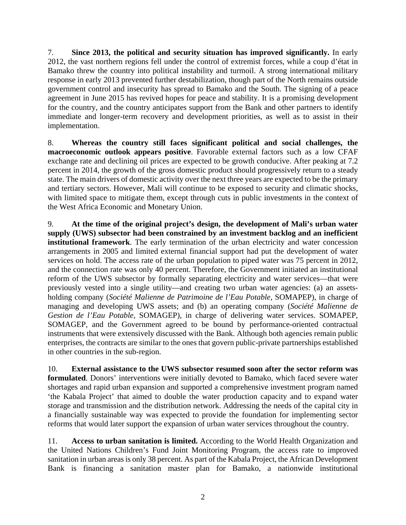7. **Since 2013, the political and security situation has improved significantly.** In early 2012, the vast northern regions fell under the control of extremist forces, while a coup d'état in Bamako threw the country into political instability and turmoil. A strong international military response in early 2013 prevented further destabilization, though part of the North remains outside government control and insecurity has spread to Bamako and the South. The signing of a peace agreement in June 2015 has revived hopes for peace and stability. It is a promising development for the country, and the country anticipates support from the Bank and other partners to identify immediate and longer-term recovery and development priorities, as well as to assist in their implementation.

8. **Whereas the country still faces significant political and social challenges, the macroeconomic outlook appears positive**. Favorable external factors such as a low CFAF exchange rate and declining oil prices are expected to be growth conducive. After peaking at 7.2 percent in 2014, the growth of the gross domestic product should progressively return to a steady state. The main drivers of domestic activity over the next three years are expected to be the primary and tertiary sectors. However, Mali will continue to be exposed to security and climatic shocks, with limited space to mitigate them, except through cuts in public investments in the context of the West Africa Economic and Monetary Union.

9. **At the time of the original project's design, the development of Mali's urban water supply (UWS) subsector had been constrained by an investment backlog and an inefficient institutional framework**. The early termination of the urban electricity and water concession arrangements in 2005 and limited external financial support had put the development of water services on hold. The access rate of the urban population to piped water was 75 percent in 2012, and the connection rate was only 40 percent. Therefore, the Government initiated an institutional reform of the UWS subsector by formally separating electricity and water services—that were previously vested into a single utility—and creating two urban water agencies: (a) an assetsholding company (*Société Malienne de Patrimoine de l'Eau Potable,* SOMAPEP), in charge of managing and developing UWS assets; and (b) an operating company (*Société Malienne de Gestion de l'Eau Potable,* SOMAGEP), in charge of delivering water services. SOMAPEP, SOMAGEP, and the Government agreed to be bound by performance-oriented contractual instruments that were extensively discussed with the Bank. Although both agencies remain public enterprises, the contracts are similar to the ones that govern public-private partnerships established in other countries in the sub-region.

10. **External assistance to the UWS subsector resumed soon after the sector reform was formulated**. Donors' interventions were initially devoted to Bamako, which faced severe water shortages and rapid urban expansion and supported a comprehensive investment program named 'the Kabala Project' that aimed to double the water production capacity and to expand water storage and transmission and the distribution network. Addressing the needs of the capital city in a financially sustainable way was expected to provide the foundation for implementing sector reforms that would later support the expansion of urban water services throughout the country.

11. **Access to urban sanitation is limited.** According to the World Health Organization and the United Nations Children's Fund Joint Monitoring Program, the access rate to improved sanitation in urban areas is only 38 percent. As part of the Kabala Project, the African Development Bank is financing a sanitation master plan for Bamako, a nationwide institutional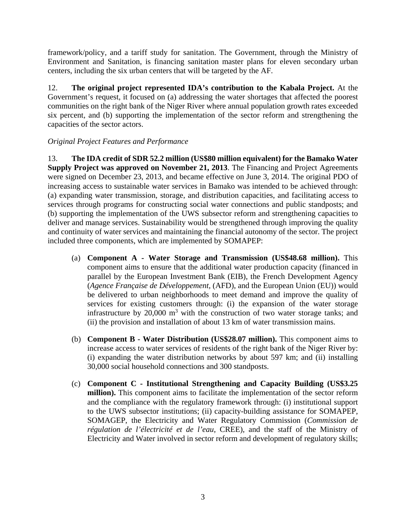framework/policy, and a tariff study for sanitation. The Government, through the Ministry of Environment and Sanitation, is financing sanitation master plans for eleven secondary urban centers, including the six urban centers that will be targeted by the AF.

12. **The original project represented IDA's contribution to the Kabala Project.** At the Government's request, it focused on (a) addressing the water shortages that affected the poorest communities on the right bank of the Niger River where annual population growth rates exceeded six percent, and (b) supporting the implementation of the sector reform and strengthening the capacities of the sector actors.

### *Original Project Features and Performance*

13. **The IDA credit of SDR 52.2 million (US\$80 million equivalent) for the Bamako Water Supply Project was approved on November 21, 2013**. The Financing and Project Agreements were signed on December 23, 2013, and became effective on June 3, 2014. The original PDO of increasing access to sustainable water services in Bamako was intended to be achieved through: (a) expanding water transmission, storage, and distribution capacities, and facilitating access to services through programs for constructing social water connections and public standposts; and (b) supporting the implementation of the UWS subsector reform and strengthening capacities to deliver and manage services. Sustainability would be strengthened through improving the quality and continuity of water services and maintaining the financial autonomy of the sector. The project included three components, which are implemented by SOMAPEP:

- (a) **Component A Water Storage and Transmission (US\$48.68 million).** This component aims to ensure that the additional water production capacity (financed in parallel by the European Investment Bank (EIB), the French Development Agency (*Agence Française de Développement,* (AFD), and the European Union (EU)) would be delivered to urban neighborhoods to meet demand and improve the quality of services for existing customers through: (i) the expansion of the water storage infrastructure by 20,000  $m<sup>3</sup>$  with the construction of two water storage tanks; and (ii) the provision and installation of about 13 km of water transmission mains.
- (b) **Component B Water Distribution (US\$28.07 million).** This component aims to increase access to water services of residents of the right bank of the Niger River by: (i) expanding the water distribution networks by about 597 km; and (ii) installing 30,000 social household connections and 300 standposts.
- (c) **Component C Institutional Strengthening and Capacity Building (US\$3.25 million).** This component aims to facilitate the implementation of the sector reform and the compliance with the regulatory framework through: (i) institutional support to the UWS subsector institutions; (ii) capacity-building assistance for SOMAPEP, SOMAGEP, the Electricity and Water Regulatory Commission (*Commission de régulation de l'électricité et de l'eau*, CREE), and the staff of the Ministry of Electricity and Water involved in sector reform and development of regulatory skills;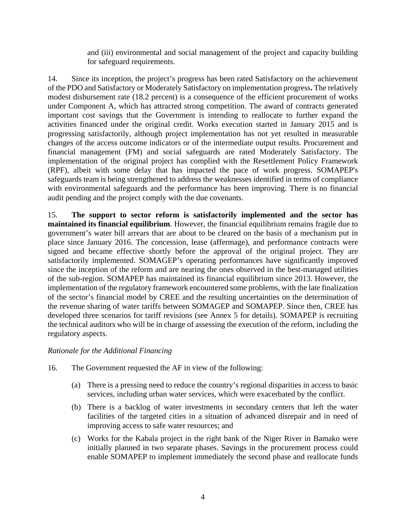and (iii) environmental and social management of the project and capacity building for safeguard requirements.

14. Since its inception, the project's progress has been rated Satisfactory on the achievement of the PDO and Satisfactory or Moderately Satisfactory on implementation progress**.** The relatively modest disbursement rate (18.2 percent) is a consequence of the efficient procurement of works under Component A, which has attracted strong competition. The award of contracts generated important cost savings that the Government is intending to reallocate to further expand the activities financed under the original credit. Works execution started in January 2015 and is progressing satisfactorily, although project implementation has not yet resulted in measurable changes of the access outcome indicators or of the intermediate output results. Procurement and financial management (FM) and social safeguards are rated Moderately Satisfactory. The implementation of the original project has complied with the Resettlement Policy Framework (RPF), albeit with some delay that has impacted the pace of work progress. SOMAPEP's safeguards team is being strengthened to address the weaknesses identified in terms of compliance with environmental safeguards and the performance has been improving. There is no financial audit pending and the project comply with the due covenants.

15. **The support to sector reform is satisfactorily implemented and the sector has maintained its financial equilibrium**. However, the financial equilibrium remains fragile due to government's water bill arrears that are about to be cleared on the basis of a mechanism put in place since January 2016. The concession, lease (affermage), and performance contracts were signed and became effective shortly before the approval of the original project. They are satisfactorily implemented. SOMAGEP's operating performances have significantly improved since the inception of the reform and are nearing the ones observed in the best-managed utilities of the sub-region. SOMAPEP has maintained its financial equilibrium since 2013. However, the implementation of the regulatory framework encountered some problems, with the late finalization of the sector's financial model by CREE and the resulting uncertainties on the determination of the revenue sharing of water tariffs between SOMAGEP and SOMAPEP. Since then, CREE has developed three scenarios for tariff revisions (see Annex 5 for details). SOMAPEP is recruiting the technical auditors who will be in charge of assessing the execution of the reform, including the regulatory aspects.

### *Rationale for the Additional Financing*

- 16. The Government requested the AF in view of the following:
	- (a) There is a pressing need to reduce the country's regional disparities in access to basic services, including urban water services, which were exacerbated by the conflict.
	- (b) There is a backlog of water investments in secondary centers that left the water facilities of the targeted cities in a situation of advanced disrepair and in need of improving access to safe water resources; and
	- (c) Works for the Kabala project in the right bank of the Niger River in Bamako were initially planned in two separate phases. Savings in the procurement process could enable SOMAPEP to implement immediately the second phase and reallocate funds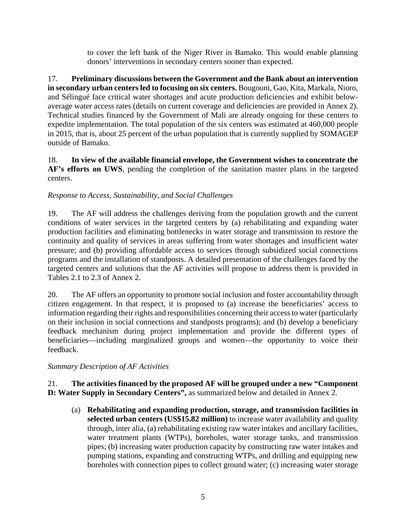to cover the left bank of the Niger River in Bamako. This would enable planning donors' interventions in secondary centers sooner than expected.

17. **Preliminary discussions between the Government and the Bank about an intervention in secondary urban centers led to focusing on six centers.** Bougouni, Gao, Kita, Markala, Nioro, and Sélingué face critical water shortages and acute production deficiencies and exhibit belowaverage water access rates (details on current coverage and deficiencies are provided in Annex 2). Technical studies financed by the Government of Mali are already ongoing for these centers to expedite implementation. The total population of the six centers was estimated at 460,000 people in 2015, that is, about 25 percent of the urban population that is currently supplied by SOMAGEP outside of Bamako.

18. **In view of the available financial envelope, the Government wishes to concentrate the AF's efforts on UWS**, pending the completion of the sanitation master plans in the targeted centers.

### *Response to Access, Sustainability, and Social Challenges*

19. The AF will address the challenges deriving from the population growth and the current conditions of water services in the targeted centers by (a) rehabilitating and expanding water production facilities and eliminating bottlenecks in water storage and transmission to restore the continuity and quality of services in areas suffering from water shortages and insufficient water pressure; and (b) providing affordable access to services through subsidized social connections programs and the installation of standposts. A detailed presentation of the challenges faced by the targeted centers and solutions that the AF activities will propose to address them is provided in Tables 2.1 to 2.3 of Annex 2.

20. The AF offers an opportunity to promote social inclusion and foster accountability through citizen engagement. In that respect, it is proposed to (a) increase the beneficiaries' access to information regarding their rights and responsibilities concerning their access to water (particularly on their inclusion in social connections and standposts programs); and (b) develop a beneficiary feedback mechanism during project implementation and provide the different types of beneficiaries—including marginalized groups and women—the opportunity to voice their feedback.

### *Summary Description of AF Activities*

21. **The activities financed by the proposed AF will be grouped under a new "Component D: Water Supply in Secondary Centers",** as summarized below and detailed in Annex 2.

(a) **Rehabilitating and expanding production, storage, and transmission facilities in selected urban centers (US\$15.82 million)** to increase water availability and quality through, inter alia, (a) rehabilitating existing raw water intakes and ancillary facilities, water treatment plants (WTPs), boreholes, water storage tanks, and transmission pipes; (b) increasing water production capacity by constructing raw water intakes and pumping stations, expanding and constructing WTPs, and drilling and equipping new boreholes with connection pipes to collect ground water; (c) increasing water storage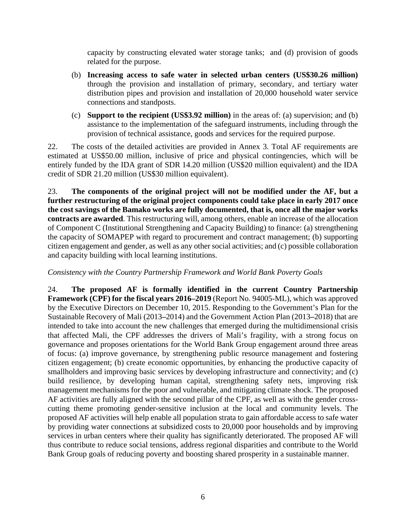capacity by constructing elevated water storage tanks; and (d) provision of goods related for the purpose.

- (b) **Increasing access to safe water in selected urban centers (US\$30.26 million)** through the provision and installation of primary, secondary, and tertiary water distribution pipes and provision and installation of 20,000 household water service connections and standposts.
- (c) **Support to the recipient (US\$3.92 million)** in the areas of: (a) supervision; and (b) assistance to the implementation of the safeguard instruments, including through the provision of technical assistance, goods and services for the required purpose.

22. The costs of the detailed activities are provided in Annex 3. Total AF requirements are estimated at US\$50.00 million, inclusive of price and physical contingencies, which will be entirely funded by the IDA grant of SDR 14.20 million (US\$20 million equivalent) and the IDA credit of SDR 21.20 million (US\$30 million equivalent).

23. **The components of the original project will not be modified under the AF, but a further restructuring of the original project components could take place in early 2017 once the cost savings of the Bamako works are fully documented, that is, once all the major works contracts are awarded**. This restructuring will, among others, enable an increase of the allocation of Component C (Institutional Strengthening and Capacity Building) to finance: (a) strengthening the capacity of SOMAPEP with regard to procurement and contract management; (b) supporting citizen engagement and gender, as well as any other social activities; and (c) possible collaboration and capacity building with local learning institutions.

### *Consistency with the Country Partnership Framework and World Bank Poverty Goals*

24. **The proposed AF is formally identified in the current Country Partnership Framework (CPF) for the fiscal years 2016–2019** (Report No. 94005-ML), which was approved by the Executive Directors on December 10, 2015. Responding to the Government's Plan for the Sustainable Recovery of Mali (2013**–**2014) and the Government Action Plan (2013**–**2018) that are intended to take into account the new challenges that emerged during the multidimensional crisis that affected Mali, the CPF addresses the drivers of Mali's fragility, with a strong focus on governance and proposes orientations for the World Bank Group engagement around three areas of focus: (a) improve governance, by strengthening public resource management and fostering citizen engagement; (b) create economic opportunities, by enhancing the productive capacity of smallholders and improving basic services by developing infrastructure and connectivity; and (c) build resilience, by developing human capital, strengthening safety nets, improving risk management mechanisms for the poor and vulnerable, and mitigating climate shock. The proposed AF activities are fully aligned with the second pillar of the CPF, as well as with the gender crosscutting theme promoting gender-sensitive inclusion at the local and community levels. The proposed AF activities will help enable all population strata to gain affordable access to safe water by providing water connections at subsidized costs to 20,000 poor households and by improving services in urban centers where their quality has significantly deteriorated. The proposed AF will thus contribute to reduce social tensions, address regional disparities and contribute to the World Bank Group goals of reducing poverty and boosting shared prosperity in a sustainable manner.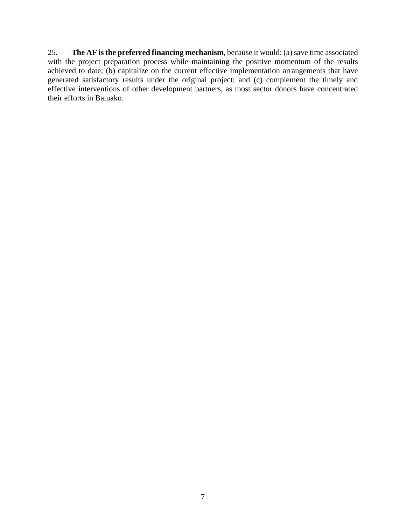25. **The AF is the preferred financing mechanism**, because it would: (a) save time associated with the project preparation process while maintaining the positive momentum of the results achieved to date; (b) capitalize on the current effective implementation arrangements that have generated satisfactory results under the original project; and (c) complement the timely and effective interventions of other development partners, as most sector donors have concentrated their efforts in Bamako.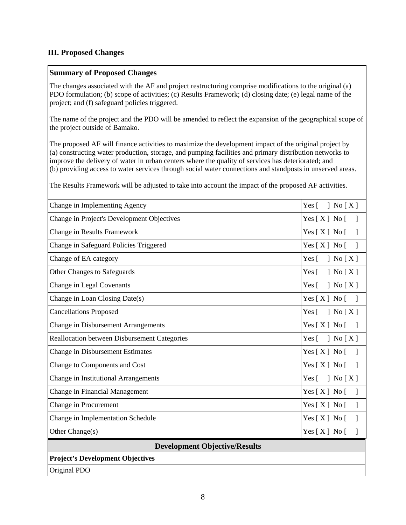### **III. Proposed Changes**

### **Summary of Proposed Changes**

The changes associated with the AF and project restructuring comprise modifications to the original (a) PDO formulation; (b) scope of activities; (c) Results Framework; (d) closing date; (e) legal name of the project; and (f) safeguard policies triggered.

The name of the project and the PDO will be amended to reflect the expansion of the geographical scope of the project outside of Bamako.

The proposed AF will finance activities to maximize the development impact of the original project by (a) constructing water production, storage, and pumping facilities and primary distribution networks to improve the delivery of water in urban centers where the quality of services has deteriorated; and (b) providing access to water services through social water connections and standposts in unserved areas.

The Results Framework will be adjusted to take into account the impact of the proposed AF activities.

| Change in Implementing Agency                       | Yes $\lceil$<br>$\left[ X \right]$ No $\left[ X \right]$                     |  |  |  |  |
|-----------------------------------------------------|------------------------------------------------------------------------------|--|--|--|--|
| Change in Project's Development Objectives          | Yes $[X]$ No $[$<br>$\overline{\phantom{a}}$                                 |  |  |  |  |
| <b>Change in Results Framework</b>                  | Yes [ X ] No [<br>$\overline{\phantom{a}}$                                   |  |  |  |  |
| Change in Safeguard Policies Triggered              | Yes $[X]$ No $[$<br>$\mathbf{1}$                                             |  |  |  |  |
| Change of EA category                               | Yes $\lceil$<br>] No $[X]$                                                   |  |  |  |  |
| Other Changes to Safeguards                         | $Yes \lceil$<br>$\left\lceil \right.$ No $\left[ \right.$ X $\left. \right]$ |  |  |  |  |
| Change in Legal Covenants                           | Yes $\lceil$<br>] No $[X]$                                                   |  |  |  |  |
| Change in Loan Closing Date(s)                      | $Yes[X] No[$ ]                                                               |  |  |  |  |
| <b>Cancellations Proposed</b>                       | Yes $\lceil$<br>$\left\lceil \right.$ No $\left[ \right.$ X $\left. \right]$ |  |  |  |  |
| <b>Change in Disbursement Arrangements</b>          | $Yes[X] No$ []                                                               |  |  |  |  |
| <b>Reallocation between Disbursement Categories</b> | Yes $\lceil$<br>$\left\lceil \right.$ No $\left[ \right.$ X $\left. \right]$ |  |  |  |  |
| <b>Change in Disbursement Estimates</b>             | Yes [ X ] No [<br>$\Box$                                                     |  |  |  |  |
| Change to Components and Cost                       | Yes [ X ] No [                                                               |  |  |  |  |
| Change in Institutional Arrangements                | Yes $\lceil$<br>] No $[X]$                                                   |  |  |  |  |
| Change in Financial Management                      | Yes $[X]$ No $[$<br>$\overline{\phantom{a}}$                                 |  |  |  |  |
| Change in Procurement                               | Yes [ X ] No [<br>$\mathbf{I}$                                               |  |  |  |  |
| Change in Implementation Schedule                   | Yes [ X ] No [<br>$\mathbf{1}$                                               |  |  |  |  |
| Other Change(s)                                     | Yes [ X ] No [<br>$\overline{\phantom{a}}$                                   |  |  |  |  |
| <b>Development Objective/Results</b>                |                                                                              |  |  |  |  |
| <b>Project's Development Objectives</b>             |                                                                              |  |  |  |  |
| Original PDO                                        |                                                                              |  |  |  |  |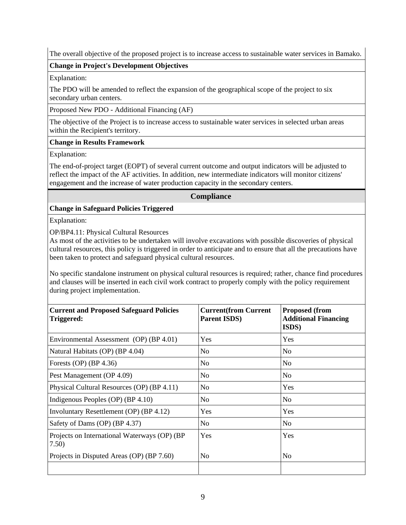The overall objective of the proposed project is to increase access to sustainable water services in Bamako.

#### **Change in Project's Development Objectives**

Explanation:

The PDO will be amended to reflect the expansion of the geographical scope of the project to six secondary urban centers.

Proposed New PDO - Additional Financing (AF)

The objective of the Project is to increase access to sustainable water services in selected urban areas within the Recipient's territory.

#### **Change in Results Framework**

Explanation:

The end-of-project target (EOPT) of several current outcome and output indicators will be adjusted to reflect the impact of the AF activities. In addition, new intermediate indicators will monitor citizens' engagement and the increase of water production capacity in the secondary centers.

#### **Compliance**

### **Change in Safeguard Policies Triggered**

Explanation:

OP/BP4.11: Physical Cultural Resources

As most of the activities to be undertaken will involve excavations with possible discoveries of physical cultural resources, this policy is triggered in order to anticipate and to ensure that all the precautions have been taken to protect and safeguard physical cultural resources.

No specific standalone instrument on physical cultural resources is required; rather, chance find procedures and clauses will be inserted in each civil work contract to properly comply with the policy requirement during project implementation.

| <b>Current and Proposed Safeguard Policies</b><br>Triggered: | <b>Current(from Current</b><br><b>Parent ISDS</b> ) | <b>Proposed (from</b><br><b>Additional Financing</b><br><b>ISDS</b> ) |
|--------------------------------------------------------------|-----------------------------------------------------|-----------------------------------------------------------------------|
| Environmental Assessment (OP) (BP 4.01)                      | Yes                                                 | Yes                                                                   |
| Natural Habitats (OP) (BP 4.04)                              | N <sub>0</sub>                                      | N <sub>0</sub>                                                        |
| Forests (OP) $(BP 4.36)$                                     | No                                                  | N <sub>0</sub>                                                        |
| Pest Management (OP 4.09)                                    | N <sub>o</sub>                                      | N <sub>0</sub>                                                        |
| Physical Cultural Resources (OP) (BP 4.11)                   | N <sub>o</sub>                                      | Yes                                                                   |
| Indigenous Peoples (OP) (BP 4.10)                            | No                                                  | N <sub>0</sub>                                                        |
| Involuntary Resettlement (OP) (BP 4.12)                      | Yes                                                 | Yes                                                                   |
| Safety of Dams (OP) (BP 4.37)                                | N <sub>o</sub>                                      | N <sub>0</sub>                                                        |
| Projects on International Waterways (OP) (BP)<br>7.50)       | Yes                                                 | Yes                                                                   |
| Projects in Disputed Areas (OP) (BP 7.60)                    | N <sub>0</sub>                                      | No                                                                    |
|                                                              |                                                     |                                                                       |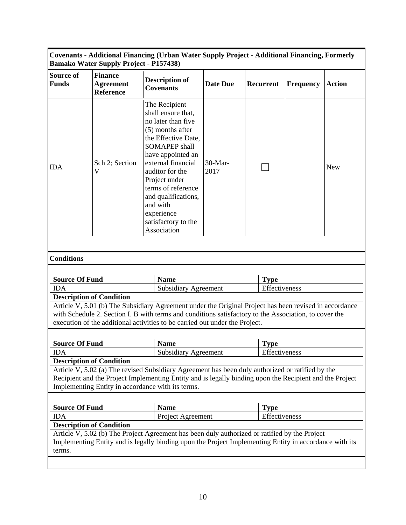**Covenants - Additional Financing (Urban Water Supply Project - Additional Financing, Formerly Bamako Water Supply Project - P157438)**

| Source of<br><b>Funds</b>           | <b>Finance</b><br><b>Agreement</b><br><b>Reference</b> | <b>Description of</b><br><b>Covenants</b>                                                                                                                                                                                                                                                                                | <b>Date Due</b> | Recurrent                    | Frequency                    | <b>Action</b> |  |  |
|-------------------------------------|--------------------------------------------------------|--------------------------------------------------------------------------------------------------------------------------------------------------------------------------------------------------------------------------------------------------------------------------------------------------------------------------|-----------------|------------------------------|------------------------------|---------------|--|--|
| <b>IDA</b>                          | Sch 2; Section<br>$\mathbf{V}$                         | The Recipient<br>shall ensure that,<br>no later than five<br>(5) months after<br>the Effective Date,<br><b>SOMAPEP</b> shall<br>have appointed an<br>external financial<br>auditor for the<br>Project under<br>terms of reference<br>and qualifications,<br>and with<br>experience<br>satisfactory to the<br>Association | 30-Mar-<br>2017 |                              |                              | <b>New</b>    |  |  |
|                                     |                                                        |                                                                                                                                                                                                                                                                                                                          |                 |                              |                              |               |  |  |
| <b>Conditions</b>                   |                                                        |                                                                                                                                                                                                                                                                                                                          |                 |                              |                              |               |  |  |
|                                     |                                                        |                                                                                                                                                                                                                                                                                                                          |                 |                              |                              |               |  |  |
| <b>Source Of Fund</b><br><b>IDA</b> |                                                        | <b>Name</b><br><b>Subsidiary Agreement</b>                                                                                                                                                                                                                                                                               |                 | <b>Type</b><br>Effectiveness |                              |               |  |  |
|                                     | <b>Description of Condition</b>                        |                                                                                                                                                                                                                                                                                                                          |                 |                              |                              |               |  |  |
|                                     |                                                        | Article V, 5.01 (b) The Subsidiary Agreement under the Original Project has been revised in accordance<br>with Schedule 2. Section I. B with terms and conditions satisfactory to the Association, to cover the<br>execution of the additional activities to be carried out under the Project.                           |                 |                              |                              |               |  |  |
|                                     |                                                        |                                                                                                                                                                                                                                                                                                                          |                 |                              |                              |               |  |  |
| <b>Source Of Fund</b><br><b>IDA</b> |                                                        | <b>Name</b><br><b>Subsidiary Agreement</b>                                                                                                                                                                                                                                                                               |                 |                              | <b>Type</b><br>Effectiveness |               |  |  |
|                                     | <b>Description of Condition</b>                        |                                                                                                                                                                                                                                                                                                                          |                 |                              |                              |               |  |  |
|                                     |                                                        | Article V, 5.02 (a) The revised Subsidiary Agreement has been duly authorized or ratified by the<br>Recipient and the Project Implementing Entity and is legally binding upon the Recipient and the Project<br>Implementing Entity in accordance with its terms.                                                         |                 |                              |                              |               |  |  |
|                                     |                                                        |                                                                                                                                                                                                                                                                                                                          |                 |                              |                              |               |  |  |
| <b>Source Of Fund</b>               |                                                        | <b>Name</b>                                                                                                                                                                                                                                                                                                              |                 | <b>Type</b>                  |                              |               |  |  |
| <b>IDA</b>                          |                                                        | Project Agreement                                                                                                                                                                                                                                                                                                        |                 | Effectiveness                |                              |               |  |  |
|                                     | <b>Description of Condition</b>                        | Article V, 5.02 (b) The Project Agreement has been duly authorized or ratified by the Project                                                                                                                                                                                                                            |                 |                              |                              |               |  |  |
| terms.                              |                                                        | Implementing Entity and is legally binding upon the Project Implementing Entity in accordance with its                                                                                                                                                                                                                   |                 |                              |                              |               |  |  |
|                                     |                                                        |                                                                                                                                                                                                                                                                                                                          |                 |                              |                              |               |  |  |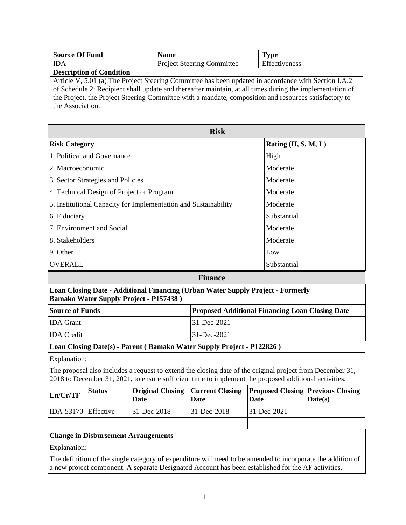| <b>Source Of Fund</b>  |                                            | <b>Name</b>                                                     |                                                                       | <b>Type</b>                                                                                                                                                                                                                                                                                                               |         |  |  |  |
|------------------------|--------------------------------------------|-----------------------------------------------------------------|-----------------------------------------------------------------------|---------------------------------------------------------------------------------------------------------------------------------------------------------------------------------------------------------------------------------------------------------------------------------------------------------------------------|---------|--|--|--|
| <b>IDA</b>             |                                            |                                                                 | <b>Project Steering Committee</b>                                     | Effectiveness                                                                                                                                                                                                                                                                                                             |         |  |  |  |
| the Association.       | <b>Description of Condition</b>            |                                                                 |                                                                       | Article V, 5.01 (a) The Project Steering Committee has been updated in accordance with Section I.A.2<br>of Schedule 2: Recipient shall update and thereafter maintain, at all times during the implementation of<br>the Project, the Project Steering Committee with a mandate, composition and resources satisfactory to |         |  |  |  |
|                        |                                            |                                                                 | <b>Risk</b>                                                           |                                                                                                                                                                                                                                                                                                                           |         |  |  |  |
| <b>Risk Category</b>   |                                            |                                                                 |                                                                       | Rating (H, S, M, L)                                                                                                                                                                                                                                                                                                       |         |  |  |  |
|                        | 1. Political and Governance                |                                                                 |                                                                       | High                                                                                                                                                                                                                                                                                                                      |         |  |  |  |
| 2. Macroeconomic       |                                            |                                                                 |                                                                       | Moderate                                                                                                                                                                                                                                                                                                                  |         |  |  |  |
|                        | 3. Sector Strategies and Policies          |                                                                 |                                                                       | Moderate                                                                                                                                                                                                                                                                                                                  |         |  |  |  |
|                        | 4. Technical Design of Project or Program  |                                                                 |                                                                       | Moderate                                                                                                                                                                                                                                                                                                                  |         |  |  |  |
|                        |                                            | 5. Institutional Capacity for Implementation and Sustainability |                                                                       | Moderate                                                                                                                                                                                                                                                                                                                  |         |  |  |  |
| 6. Fiduciary           |                                            |                                                                 |                                                                       | Substantial                                                                                                                                                                                                                                                                                                               |         |  |  |  |
|                        | 7. Environment and Social                  |                                                                 |                                                                       | Moderate                                                                                                                                                                                                                                                                                                                  |         |  |  |  |
| 8. Stakeholders        |                                            |                                                                 |                                                                       | Moderate                                                                                                                                                                                                                                                                                                                  |         |  |  |  |
| 9. Other               |                                            |                                                                 |                                                                       | Low                                                                                                                                                                                                                                                                                                                       |         |  |  |  |
| <b>OVERALL</b>         |                                            |                                                                 |                                                                       | Substantial                                                                                                                                                                                                                                                                                                               |         |  |  |  |
|                        |                                            |                                                                 | <b>Finance</b>                                                        |                                                                                                                                                                                                                                                                                                                           |         |  |  |  |
|                        |                                            | <b>Bamako Water Supply Project - P157438</b> )                  |                                                                       | Loan Closing Date - Additional Financing (Urban Water Supply Project - Formerly                                                                                                                                                                                                                                           |         |  |  |  |
| <b>Source of Funds</b> |                                            |                                                                 | <b>Proposed Additional Financing Loan Closing Date</b>                |                                                                                                                                                                                                                                                                                                                           |         |  |  |  |
| <b>IDA</b> Grant       |                                            |                                                                 | 31-Dec-2021                                                           |                                                                                                                                                                                                                                                                                                                           |         |  |  |  |
| <b>IDA</b> Credit      |                                            |                                                                 | 31-Dec-2021                                                           |                                                                                                                                                                                                                                                                                                                           |         |  |  |  |
|                        |                                            |                                                                 | Loan Closing Date(s) - Parent (Bamako Water Supply Project - P122826) |                                                                                                                                                                                                                                                                                                                           |         |  |  |  |
| Explanation:           |                                            |                                                                 |                                                                       | The proposal also includes a request to extend the closing date of the original project from December 31,<br>2018 to December 31, 2021, to ensure sufficient time to implement the proposed additional activities.                                                                                                        |         |  |  |  |
| Ln/Cr/TF               | <b>Status</b>                              | <b>Original Closing</b><br><b>Date</b>                          | <b>Current Closing</b><br>Date                                        | <b>Proposed Closing Previous Closing</b><br><b>Date</b>                                                                                                                                                                                                                                                                   | Date(s) |  |  |  |
| IDA-53170              | Effective                                  | 31-Dec-2018                                                     | 31-Dec-2018                                                           | 31-Dec-2021                                                                                                                                                                                                                                                                                                               |         |  |  |  |
|                        |                                            |                                                                 |                                                                       |                                                                                                                                                                                                                                                                                                                           |         |  |  |  |
|                        | <b>Change in Disbursement Arrangements</b> |                                                                 |                                                                       |                                                                                                                                                                                                                                                                                                                           |         |  |  |  |
| Explanation:           |                                            |                                                                 |                                                                       |                                                                                                                                                                                                                                                                                                                           |         |  |  |  |
|                        |                                            |                                                                 |                                                                       | The definition of the single category of expenditure will need to be amended to incorporate the addition of<br>a new project component. A separate Designated Account has been established for the AF activities.                                                                                                         |         |  |  |  |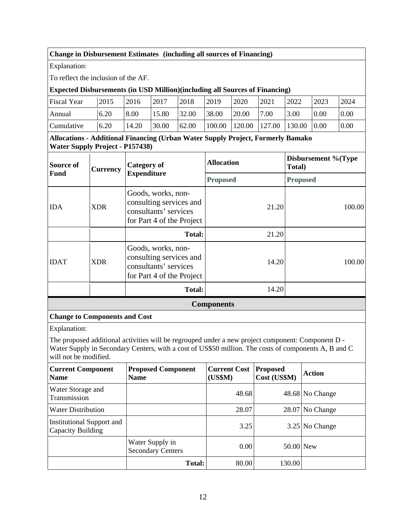### **Change in Disbursement Estimates** (including all sources of Financing)

Explanation:

To reflect the inclusion of the AF.

### **Expected Disbursements (in USD Million)(including all Sources of Financing)**

| <b>Fiscal Year</b> | 2015 | 2016  | 2017  | 2018  | 2019                       | 2020  | 2021 | 2022   | 2023               | 2024 |
|--------------------|------|-------|-------|-------|----------------------------|-------|------|--------|--------------------|------|
| Annual             | 6.20 | 8.00  | 15.80 | 32.00 | 38.00                      | 20.00 | 7.00 | 3.00   | 0.00               | 0.00 |
| Cumulative         | 6.20 | 14.20 | 30.00 | 62.00 | $100.00$ $120.00$ $127.00$ |       |      | 130.00 | $\vert 0.00 \vert$ | 0.00 |

**Allocations - Additional Financing (Urban Water Supply Project, Formerly Bamako Water Supply Project - P157438)**

| Source of<br><b>Fund</b> | <b>Currency</b> | <b>Category of</b>                                                                                  | <b>Allocation</b> | Disbursement %(Type<br>Total) |  |
|--------------------------|-----------------|-----------------------------------------------------------------------------------------------------|-------------------|-------------------------------|--|
|                          |                 | <b>Expenditure</b>                                                                                  | <b>Proposed</b>   | <b>Proposed</b>               |  |
| <b>IDA</b>               | <b>XDR</b>      | Goods, works, non-<br>consulting services and<br>consultants' services<br>for Part 4 of the Project | 21.20             | 100.00                        |  |
|                          |                 | <b>Total:</b>                                                                                       | 21.20             |                               |  |
| <b>IDAT</b>              | <b>XDR</b>      | Goods, works, non-<br>consulting services and<br>consultants' services<br>for Part 4 of the Project | 14.20             | 100.00                        |  |
|                          |                 | <b>Total:</b>                                                                                       | 14.20             |                               |  |

**Components**

### **Change to Components and Cost**

Explanation:

The proposed additional activities will be regrouped under a new project component: Component D - Water Supply in Secondary Centers, with a cost of US\$50 million. The costs of components A, B and C will not be modified.

| <b>Current Component</b><br><b>Name</b>               | <b>Proposed Component</b><br><b>Name</b>    | <b>Current Cost</b><br>(US\$M) | <b>Proposed</b><br>Cost (US\$M) | <b>Action</b>     |
|-------------------------------------------------------|---------------------------------------------|--------------------------------|---------------------------------|-------------------|
| Water Storage and<br>Transmission                     |                                             | 48.68                          |                                 | 48.68 No Change   |
| <b>Water Distribution</b>                             |                                             | 28.07                          |                                 | $28.07$ No Change |
| <b>Institutional Support and</b><br>Capacity Building |                                             | 3.25                           |                                 | $3.25$ No Change  |
|                                                       | Water Supply in<br><b>Secondary Centers</b> | 0.00                           | 50.00 New                       |                   |
|                                                       | <b>Total:</b>                               | 80.00                          | 130.00                          |                   |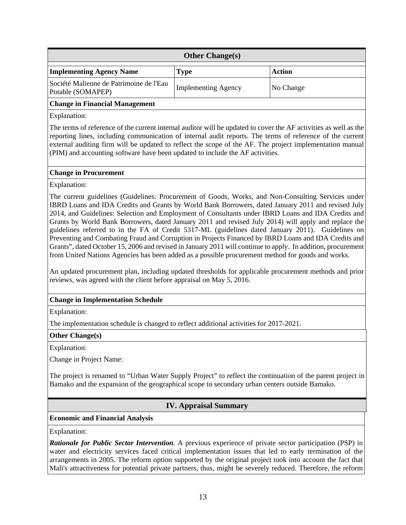| <b>Other Change(s)</b>                                       |                     |           |  |  |  |  |  |  |
|--------------------------------------------------------------|---------------------|-----------|--|--|--|--|--|--|
| <b>Implementing Agency Name</b>                              | <b>Type</b>         | Action    |  |  |  |  |  |  |
| Société Malienne de Patrimoine de l'Eau<br>Potable (SOMAPEP) | Implementing Agency | No Change |  |  |  |  |  |  |
| <b>Change in Financial Management</b>                        |                     |           |  |  |  |  |  |  |

Explanation:

The terms of reference of the current internal auditor will be updated to cover the AF activities as well as the reporting lines, including communication of internal audit reports. The terms of reference of the current external auditing firm will be updated to reflect the scope of the AF. The project implementation manual (PIM) and accounting software have been updated to include the AF activities.

#### **Change in Procurement**

Explanation:

The current guidelines (Guidelines: Procurement of Goods, Works, and Non-Consulting Services under IBRD Loans and IDA Credits and Grants by World Bank Borrowers, dated January 2011 and revised July 2014, and Guidelines: Selection and Employment of Consultants under IBRD Loans and IDA Credits and Grants by World Bank Borrowers, dated January 2011 and revised July 2014) will apply and replace the guidelines referred to in the FA of Credit 5317-ML (guidelines dated January 2011). Guidelines on Preventing and Combating Fraud and Corruption in Projects Financed by IBRD Loans and IDA Credits and Grants", dated October 15, 2006 and revised in January 2011 will continue to apply. In addition, procurement from United Nations Agencies has been added as a possible procurement method for goods and works.

An updated procurement plan, including updated thresholds for applicable procurement methods and prior reviews, was agreed with the client before appraisal on May 5, 2016.

### **Change in Implementation Schedule**

Explanation:

The implementation schedule is changed to reflect additional activities for 2017-2021.

#### **Other Change(s)**

Explanation:

Change in Project Name:

The project is renamed to "Urban Water Supply Project" to reflect the continuation of the parent project in Bamako and the expansion of the geographical scope to secondary urban centers outside Bamako.

### **IV. Appraisal Summary**

### **Economic and Financial Analysis**

Explanation:

*Rationale for Public Sector Intervention*. A previous experience of private sector participation (PSP) in water and electricity services faced critical implementation issues that led to early termination of the arrangements in 2005. The reform option supported by the original project took into account the fact that Mali's attractiveness for potential private partners, thus, might be severely reduced. Therefore, the reform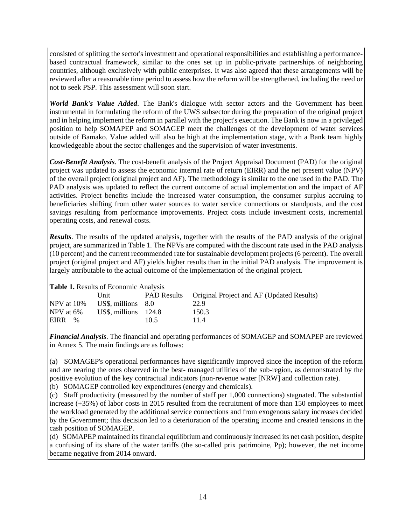consisted of splitting the sector's investment and operational responsibilities and establishing a performancebased contractual framework, similar to the ones set up in public-private partnerships of neighboring countries, although exclusively with public enterprises. It was also agreed that these arrangements will be reviewed after a reasonable time period to assess how the reform will be strengthened, including the need or not to seek PSP. This assessment will soon start.

*World Bank's Value Added*. The Bank's dialogue with sector actors and the Government has been instrumental in formulating the reform of the UWS subsector during the preparation of the original project and in helping implement the reform in parallel with the project's execution. The Bank is now in a privileged position to help SOMAPEP and SOMAGEP meet the challenges of the development of water services outside of Bamako. Value added will also be high at the implementation stage, with a Bank team highly knowledgeable about the sector challenges and the supervision of water investments.

*Cost-Benefit Analysis*. The cost-benefit analysis of the Project Appraisal Document (PAD) for the original project was updated to assess the economic internal rate of return (EIRR) and the net present value (NPV) of the overall project (original project and AF). The methodology is similar to the one used in the PAD. The PAD analysis was updated to reflect the current outcome of actual implementation and the impact of AF activities. Project benefits include the increased water consumption, the consumer surplus accruing to beneficiaries shifting from other water sources to water service connections or standposts, and the cost savings resulting from performance improvements. Project costs include investment costs, incremental operating costs, and renewal costs.

*Results*. The results of the updated analysis, together with the results of the PAD analysis of the original project, are summarized in Table 1. The NPVs are computed with the discount rate used in the PAD analysis (10 percent) and the current recommended rate for sustainable development projects (6 percent). The overall project (original project and AF) yields higher results than in the initial PAD analysis. The improvement is largely attributable to the actual outcome of the implementation of the original project.

#### **Table 1.** Results of Economic Analysis

|            | Unit                   |      | PAD Results Original Project and AF (Updated Results) |
|------------|------------------------|------|-------------------------------------------------------|
| NPV at 10% | US\$, millions $8.0$   |      | 22.9                                                  |
| NPV at 6%  | US\$, millions $124.8$ |      | 150.3                                                 |
| EIRR %     |                        | 10.5 | 11.4                                                  |

*Financial Analysis*. The financial and operating performances of SOMAGEP and SOMAPEP are reviewed in Annex 5. The main findings are as follows:

(a) SOMAGEP's operational performances have significantly improved since the inception of the reform and are nearing the ones observed in the best- managed utilities of the sub-region, as demonstrated by the positive evolution of the key contractual indicators (non-revenue water [NRW] and collection rate).

(b) SOMAGEP controlled key expenditures (energy and chemicals).

(c) Staff productivity (measured by the number of staff per 1,000 connections) stagnated. The substantial increase (+35%) of labor costs in 2015 resulted from the recruitment of more than 150 employees to meet the workload generated by the additional service connections and from exogenous salary increases decided by the Government; this decision led to a deterioration of the operating income and created tensions in the cash position of SOMAGEP.

(d) SOMAPEP maintained its financial equilibrium and continuously increased its net cash position, despite a confusing of its share of the water tariffs (the so-called prix patrimoine, Pp); however, the net income became negative from 2014 onward.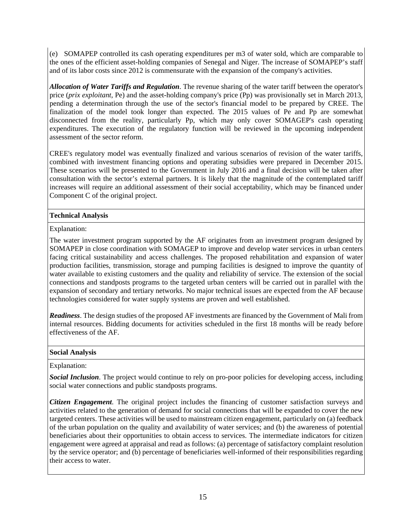(e) SOMAPEP controlled its cash operating expenditures per m3 of water sold, which are comparable to the ones of the efficient asset-holding companies of Senegal and Niger. The increase of SOMAPEP's staff and of its labor costs since 2012 is commensurate with the expansion of the company's activities.

*Allocation of Water Tariffs and Regulation*. The revenue sharing of the water tariff between the operator's price (*prix exploitant*, Pe) and the asset-holding company's price (Pp) was provisionally set in March 2013, pending a determination through the use of the sector's financial model to be prepared by CREE. The finalization of the model took longer than expected. The 2015 values of Pe and Pp are somewhat disconnected from the reality, particularly Pp, which may only cover SOMAGEP's cash operating expenditures. The execution of the regulatory function will be reviewed in the upcoming independent assessment of the sector reform.

CREE's regulatory model was eventually finalized and various scenarios of revision of the water tariffs, combined with investment financing options and operating subsidies were prepared in December 2015. These scenarios will be presented to the Government in July 2016 and a final decision will be taken after consultation with the sector's external partners. It is likely that the magnitude of the contemplated tariff increases will require an additional assessment of their social acceptability, which may be financed under Component C of the original project.

#### **Technical Analysis**

Explanation:

The water investment program supported by the AF originates from an investment program designed by SOMAPEP in close coordination with SOMAGEP to improve and develop water services in urban centers facing critical sustainability and access challenges. The proposed rehabilitation and expansion of water production facilities, transmission, storage and pumping facilities is designed to improve the quantity of water available to existing customers and the quality and reliability of service. The extension of the social connections and standposts programs to the targeted urban centers will be carried out in parallel with the expansion of secondary and tertiary networks. No major technical issues are expected from the AF because technologies considered for water supply systems are proven and well established.

*Readiness*. The design studies of the proposed AF investments are financed by the Government of Mali from internal resources. Bidding documents for activities scheduled in the first 18 months will be ready before effectiveness of the AF.

### **Social Analysis**

#### Explanation:

*Social Inclusion*. The project would continue to rely on pro-poor policies for developing access, including social water connections and public standposts programs.

*Citizen Engagement*. The original project includes the financing of customer satisfaction surveys and activities related to the generation of demand for social connections that will be expanded to cover the new targeted centers. These activities will be used to mainstream citizen engagement, particularly on (a) feedback of the urban population on the quality and availability of water services; and (b) the awareness of potential beneficiaries about their opportunities to obtain access to services. The intermediate indicators for citizen engagement were agreed at appraisal and read as follows: (a) percentage of satisfactory complaint resolution by the service operator; and (b) percentage of beneficiaries well-informed of their responsibilities regarding their access to water.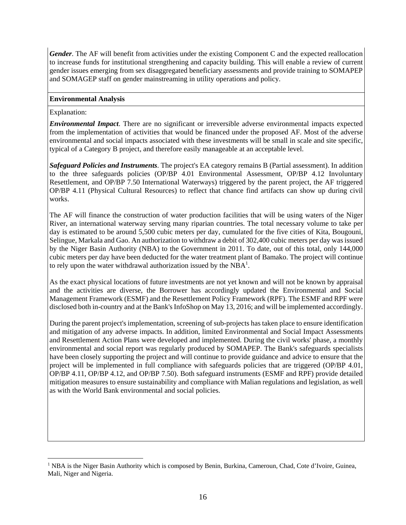*Gender*. The AF will benefit from activities under the existing Component C and the expected reallocation to increase funds for institutional strengthening and capacity building. This will enable a review of current gender issues emerging from sex disaggregated beneficiary assessments and provide training to SOMAPEP and SOMAGEP staff on gender mainstreaming in utility operations and policy.

#### **Environmental Analysis**

Explanation:

 $\overline{a}$ 

*Environmental Impact*. There are no significant or irreversible adverse environmental impacts expected from the implementation of activities that would be financed under the proposed AF. Most of the adverse environmental and social impacts associated with these investments will be small in scale and site specific, typical of a Category B project, and therefore easily manageable at an acceptable level.

*Safeguard Policies and Instruments*. The project's EA category remains B (Partial assessment). In addition to the three safeguards policies (OP/BP 4.01 Environmental Assessment, OP/BP 4.12 Involuntary Resettlement, and OP/BP 7.50 International Waterways) triggered by the parent project, the AF triggered OP/BP 4.11 (Physical Cultural Resources) to reflect that chance find artifacts can show up during civil works.

The AF will finance the construction of water production facilities that will be using waters of the Niger River, an international waterway serving many riparian countries. The total necessary volume to take per day is estimated to be around 5,500 cubic meters per day, cumulated for the five cities of Kita, Bougouni, Selingue, Markala and Gao. An authorization to withdraw a debit of 302,400 cubic meters per day was issued by the Niger Basin Authority (NBA) to the Government in 2011. To date, out of this total, only 144,000 cubic meters per day have been deducted for the water treatment plant of Bamako. The project will continue to rely upon the water withdrawal authorization issued by the  $NBA<sup>1</sup>$ .

As the exact physical locations of future investments are not yet known and will not be known by appraisal and the activities are diverse, the Borrower has accordingly updated the Environmental and Social Management Framework (ESMF) and the Resettlement Policy Framework (RPF). The ESMF and RPF were disclosed both in-country and at the Bank's InfoShop on May 13, 2016; and will be implemented accordingly.

During the parent project's implementation, screening of sub-projects has taken place to ensure identification and mitigation of any adverse impacts. In addition, limited Environmental and Social Impact Assessments and Resettlement Action Plans were developed and implemented. During the civil works' phase, a monthly environmental and social report was regularly produced by SOMAPEP. The Bank's safeguards specialists have been closely supporting the project and will continue to provide guidance and advice to ensure that the project will be implemented in full compliance with safeguards policies that are triggered (OP/BP 4.01, OP/BP 4.11, OP/BP 4.12, and OP/BP 7.50). Both safeguard instruments (ESMF and RPF) provide detailed mitigation measures to ensure sustainability and compliance with Malian regulations and legislation, as well as with the World Bank environmental and social policies.

<sup>&</sup>lt;sup>1</sup> NBA is the Niger Basin Authority which is composed by Benin, Burkina, Cameroun, Chad, Cote d'Ivoire, Guinea, Mali, Niger and Nigeria.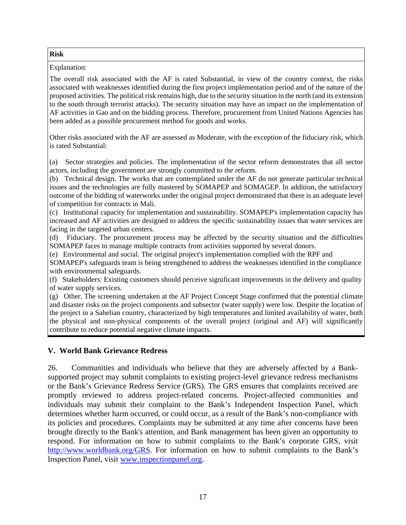### **Risk**

Explanation:

The overall risk associated with the AF is rated Substantial, in view of the country context, the risks associated with weaknesses identified during the first project implementation period and of the nature of the proposed activities. The political risk remains high, due to the security situation in the north (and its extension to the south through terrorist attacks). The security situation may have an impact on the implementation of AF activities in Gao and on the bidding process. Therefore, procurement from United Nations Agencies has been added as a possible procurement method for goods and works.

Other risks associated with the AF are assessed as Moderate, with the exception of the fiduciary risk, which is rated Substantial:

(a) Sector strategies and policies. The implementation of the sector reform demonstrates that all sector actors, including the government are strongly committed to the reform.

(b) Technical design. The works that are contemplated under the AF do not generate particular technical issues and the technologies are fully mastered by SOMAPEP and SOMAGEP. In addition, the satisfactory outcome of the bidding of waterworks under the original project demonstrated that there is an adequate level of competition for contracts in Mali.

(c) Institutional capacity for implementation and sustainability. SOMAPEP's implementation capacity has increased and AF activities are designed to address the specific sustainability issues that water services are facing in the targeted urban centers.

(d) Fiduciary. The procurement process may be affected by the security situation and the difficulties SOMAPEP faces to manage multiple contracts from activities supported by several donors.

(e) Environmental and social. The original project's implementation complied with the RPF and

SOMAPEP's safeguards team is being strengthened to address the weaknesses identified in the compliance with environmental safeguards.

(f) Stakeholders: Existing customers should perceive significant improvements in the delivery and quality of water supply services.

(g) Other. The screening undertaken at the AF Project Concept Stage confirmed that the potential climate and disaster risks on the project components and subsector (water supply) were low. Despite the location of the project in a Sahelian country, characterized by high temperatures and limited availability of water, both the physical and non-physical components of the overall project (original and AF) will significantly contribute to reduce potential negative climate impacts.

### **V. World Bank Grievance Redress**

26. Communities and individuals who believe that they are adversely affected by a Banksupported project may submit complaints to existing project-level grievance redress mechanisms or the Bank's Grievance Redress Service (GRS). The GRS ensures that complaints received are promptly reviewed to address project-related concerns. Project-affected communities and individuals may submit their complaint to the Bank's Independent Inspection Panel, which determines whether harm occurred, or could occur, as a result of the Bank's non-compliance with its policies and procedures. Complaints may be submitted at any time after concerns have been brought directly to the Bank's attention, and Bank management has been given an opportunity to respond. For information on how to submit complaints to the Bank's corporate GRS, visit http://www.worldbank.org/GRS. For information on how to submit complaints to the Bank's Inspection Panel, visit www.inspectionpanel.org.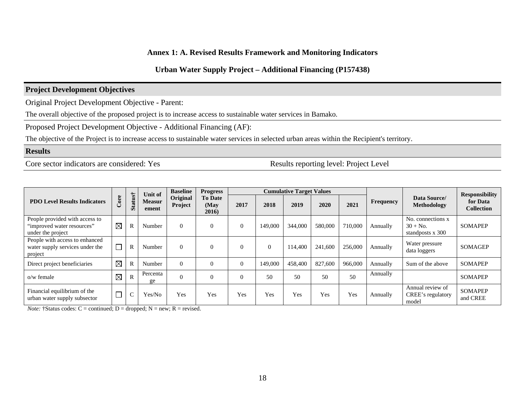#### **Annex 1: A. Revised Results Framework and Monitoring Indicators**

#### **Urban Water Supply Project – Additional Financing (P157438)**

### **Project Development Objectives**

Original Project Development Objective - Parent:

The overall objective of the proposed project is to increase access to sustainable water services in Bamako.

Proposed Project Development Objective - Additional Financing (AF):

The objective of the Project is to increase access to sustainable water services in selected urban areas within the Recipient's territory.

#### **Results**

Core sector indicators are considered: Yes Results reporting level: Project Level

|                                                                                   |             |                       | Unit of                | <b>Baseline</b>     | <b>Progress</b>                  |      |          | <b>Cumulative Target Values</b> |         |         |           |                                                     | <b>Responsibility</b>         |
|-----------------------------------------------------------------------------------|-------------|-----------------------|------------------------|---------------------|----------------------------------|------|----------|---------------------------------|---------|---------|-----------|-----------------------------------------------------|-------------------------------|
| <b>PDO Level Results Indicators</b>                                               | ore         | Status†               | <b>Measur</b><br>ement | Original<br>Project | <b>To Date</b><br>(May)<br>2016) | 2017 | 2018     | 2019                            | 2020    | 2021    | Frequency | Data Source/<br>Methodology                         | for Data<br><b>Collection</b> |
| People provided with access to<br>"improved water resources"<br>under the project | $\boxtimes$ | R                     | Number                 | $\Omega$            | $\theta$                         | 0    | 149,000  | 344,000                         | 580,000 | 710,000 | Annually  | No. connections x<br>$30 + No.$<br>standposts x 300 | <b>SOMAPEP</b>                |
| People with access to enhanced<br>water supply services under the<br>project      |             | R                     | Number                 | $\Omega$            | $\Omega$                         | 0    | $\Omega$ | 114,400                         | 241,600 | 256,000 | Annually  | Water pressure<br>data loggers                      | <b>SOMAGEP</b>                |
| Direct project beneficiaries                                                      | $\boxtimes$ | $\overline{\text{R}}$ | Number                 | $\Omega$            | $\theta$                         | 0    | 149,000  | 458,400                         | 827,600 | 966,000 | Annually  | Sum of the above                                    | <b>SOMAPEP</b>                |
| $o/w$ female                                                                      | $\boxtimes$ | $\mathbb{R}$          | Percenta<br>ge         | $\Omega$            | $\Omega$                         |      | 50       | 50                              | 50      | 50      | Annually  |                                                     | <b>SOMAPEP</b>                |
| Financial equilibrium of the<br>urban water supply subsector                      |             |                       | Yes/No                 | Yes                 | Yes                              | Yes  | Yes      | Yes                             | Yes     | Yes     | Annually  | Annual review of<br>CREE's regulatory<br>model      | <b>SOMAPEP</b><br>and CREE    |

*Note:*  $\dagger$ Status codes:  $C =$  continued;  $D =$  dropped;  $N =$  new;  $R =$  revised.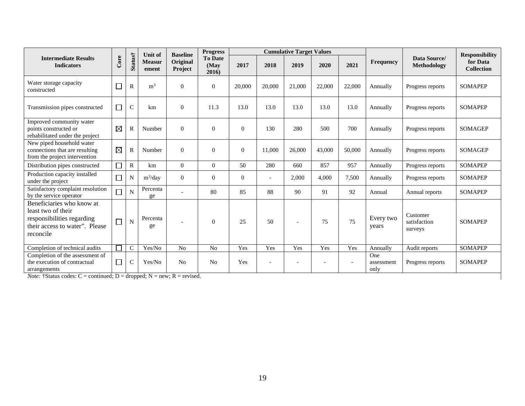|                                                                                                                              |             |              | Unit of                | <b>Baseline</b>     | <b>Progress</b>                 | <b>Cumulative Target Values</b> |                |                |                          |        |                           |                                     | <b>Responsibility</b>         |
|------------------------------------------------------------------------------------------------------------------------------|-------------|--------------|------------------------|---------------------|---------------------------------|---------------------------------|----------------|----------------|--------------------------|--------|---------------------------|-------------------------------------|-------------------------------|
| <b>Intermediate Results</b><br><b>Indicators</b>                                                                             | Core        | Status†      | <b>Measur</b><br>ement | Original<br>Project | <b>To Date</b><br>(May<br>2016) | 2017                            | 2018           | 2019           | 2020                     | 2021   | Frequency                 | Data Source/<br><b>Methodology</b>  | for Data<br><b>Collection</b> |
| Water storage capacity<br>constructed                                                                                        |             | $\mathbb{R}$ | m <sup>3</sup>         | $\overline{0}$      | $\theta$                        | 20,000                          | 20,000         | 21,000         | 22,000                   | 22,000 | Annually                  | Progress reports                    | <b>SOMAPEP</b>                |
| Transmission pipes constructed                                                                                               | $\Box$      | $\mathsf{C}$ | km                     | $\theta$            | 11.3                            | 13.0                            | 13.0           | 13.0           | 13.0                     | 13.0   | Annually                  | Progress reports                    | <b>SOMAPEP</b>                |
| Improved community water<br>points constructed or<br>rehabilitated under the project                                         | $\boxtimes$ | R            | Number                 | $\overline{0}$      | $\Omega$                        | $\mathbf{0}$                    | 130            | 280            | 500                      | 700    | Annually                  | Progress reports                    | <b>SOMAGEP</b>                |
| New piped household water<br>connections that are resulting<br>from the project intervention                                 | $\boxtimes$ | $\mathsf{R}$ | Number                 | $\Omega$            | $\Omega$                        | $\overline{0}$                  | 11,000         | 26,000         | 43,000                   | 50,000 | Annually                  | Progress reports                    | <b>SOMAGEP</b>                |
| Distribution pipes constructed                                                                                               |             | $\mathbb{R}$ | km                     | $\overline{0}$      | $\mathbf{0}$                    | 50                              | 280            | 660            | 857                      | 957    | Annually                  | Progress reports                    | <b>SOMAPEP</b>                |
| Production capacity installed<br>under the project                                                                           |             | N            | $m^3$ /day             | $\overline{0}$      | $\theta$                        | $\overline{0}$                  | $\overline{a}$ | 2,000          | 4,000                    | 7,500  | Annually                  | Progress reports                    | <b>SOMAPEP</b>                |
| Satisfactory complaint resolution<br>by the service operator                                                                 |             | N            | Percenta<br>ge         |                     | 80                              | 85                              | 88             | 90             | 91                       | 92     | Annual                    | Annual reports                      | <b>SOMAPEP</b>                |
| Beneficiaries who know at<br>least two of their<br>responsibilities regarding<br>their access to water". Please<br>reconcile |             | N            | Percenta<br>ge         |                     | $\theta$                        | 25                              | 50             | $\overline{a}$ | 75                       | 75     | Every two<br>years        | Customer<br>satisfaction<br>surveys | <b>SOMAPEP</b>                |
| Completion of technical audits                                                                                               |             | $\mathsf{C}$ | Yes/No                 | No                  | N <sub>o</sub>                  | Yes                             | Yes            | Yes            | Yes                      | Yes    | Annually                  | Audit reports                       | <b>SOMAPEP</b>                |
| Completion of the assessment of<br>the execution of contractual<br>arrangements                                              | $\Box$      | $\mathsf{C}$ | Yes/No                 | No                  | No                              | Yes                             | $\overline{a}$ |                | $\overline{\phantom{a}}$ |        | One<br>assessment<br>only | Progress reports                    | <b>SOMAPEP</b>                |
| <i>Note:</i> $\dagger$ Status codes: C = continued; D = dropped; N = new; R = revised.                                       |             |              |                        |                     |                                 |                                 |                |                |                          |        |                           |                                     |                               |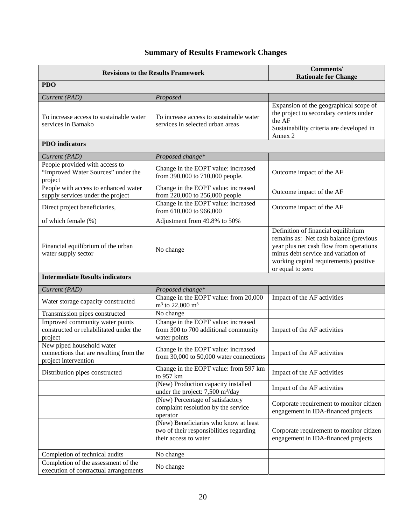# **Summary of Results Framework Changes**

|                                                                                              | <b>Revisions to the Results Framework</b>                                                                 | Comments/<br><b>Rationale for Change</b>                                                                                                                                                                                      |
|----------------------------------------------------------------------------------------------|-----------------------------------------------------------------------------------------------------------|-------------------------------------------------------------------------------------------------------------------------------------------------------------------------------------------------------------------------------|
| <b>PDO</b>                                                                                   |                                                                                                           |                                                                                                                                                                                                                               |
| Current (PAD)                                                                                | Proposed                                                                                                  |                                                                                                                                                                                                                               |
| To increase access to sustainable water<br>services in Bamako                                | To increase access to sustainable water<br>services in selected urban areas                               | Expansion of the geographical scope of<br>the project to secondary centers under<br>the AF<br>Sustainability criteria are developed in<br>Annex 2                                                                             |
| <b>PDO</b> indicators                                                                        |                                                                                                           |                                                                                                                                                                                                                               |
| Current (PAD)                                                                                | Proposed change*                                                                                          |                                                                                                                                                                                                                               |
| People provided with access to<br>"Improved Water Sources" under the<br>project              | Change in the EOPT value: increased<br>from 390,000 to 710,000 people.                                    | Outcome impact of the AF                                                                                                                                                                                                      |
| People with access to enhanced water<br>supply services under the project                    | Change in the EOPT value: increased<br>from 220,000 to 256,000 people                                     | Outcome impact of the AF                                                                                                                                                                                                      |
| Direct project beneficiaries,                                                                | Change in the EOPT value: increased<br>from 610,000 to 966,000                                            | Outcome impact of the AF                                                                                                                                                                                                      |
| of which female (%)                                                                          | Adjustment from 49.8% to 50%                                                                              |                                                                                                                                                                                                                               |
| Financial equilibrium of the urban<br>water supply sector                                    | No change                                                                                                 | Definition of financial equilibrium<br>remains as: Net cash balance (previous<br>year plus net cash flow from operations<br>minus debt service and variation of<br>working capital requirements) positive<br>or equal to zero |
| <b>Intermediate Results indicators</b>                                                       |                                                                                                           |                                                                                                                                                                                                                               |
| Current (PAD)                                                                                | Proposed change*                                                                                          |                                                                                                                                                                                                                               |
| Water storage capacity constructed                                                           | Change in the EOPT value: from 20,000<br>$m^3$ to 22,000 $m^3$                                            | Impact of the AF activities                                                                                                                                                                                                   |
| Transmission pipes constructed                                                               | No change                                                                                                 |                                                                                                                                                                                                                               |
| Improved community water points<br>constructed or rehabilitated under the<br>project         | Change in the EOPT value: increased<br>from 300 to 700 additional community<br>water points               | Impact of the AF activities                                                                                                                                                                                                   |
| New piped household water<br>connections that are resulting from the<br>project intervention | Change in the EOPT value: increased<br>from 30,000 to 50,000 water connections                            | Impact of the AF activities                                                                                                                                                                                                   |
| Distribution pipes constructed                                                               | Change in the EOPT value: from 597 km<br>to 957 km                                                        | Impact of the AF activities                                                                                                                                                                                                   |
|                                                                                              | (New) Production capacity installed<br>under the project: $7,500 \text{ m}^3/\text{day}$                  | Impact of the AF activities                                                                                                                                                                                                   |
|                                                                                              | (New) Percentage of satisfactory<br>complaint resolution by the service<br>operator                       | Corporate requirement to monitor citizen<br>engagement in IDA-financed projects                                                                                                                                               |
|                                                                                              | (New) Beneficiaries who know at least<br>two of their responsibilities regarding<br>their access to water | Corporate requirement to monitor citizen<br>engagement in IDA-financed projects                                                                                                                                               |
| Completion of technical audits                                                               | No change                                                                                                 |                                                                                                                                                                                                                               |
| Completion of the assessment of the<br>execution of contractual arrangements                 | No change                                                                                                 |                                                                                                                                                                                                                               |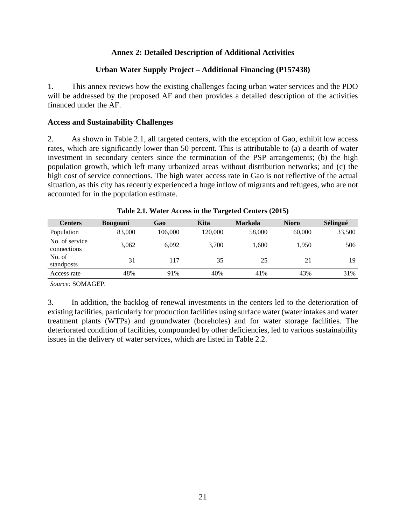### **Annex 2: Detailed Description of Additional Activities**

### **Urban Water Supply Project – Additional Financing (P157438)**

1. This annex reviews how the existing challenges facing urban water services and the PDO will be addressed by the proposed AF and then provides a detailed description of the activities financed under the AF.

### **Access and Sustainability Challenges**

2. As shown in Table 2.1, all targeted centers, with the exception of Gao, exhibit low access rates, which are significantly lower than 50 percent. This is attributable to (a) a dearth of water investment in secondary centers since the termination of the PSP arrangements; (b) the high population growth, which left many urbanized areas without distribution networks; and (c) the high cost of service connections. The high water access rate in Gao is not reflective of the actual situation, as this city has recently experienced a huge inflow of migrants and refugees, who are not accounted for in the population estimate.

| <b>Centers</b>                | <b>Bougouni</b> | Gao     | Kita    | <b>Markala</b> | <b>Nioro</b> | Sélingué |
|-------------------------------|-----------------|---------|---------|----------------|--------------|----------|
| Population                    | 83,000          | 106,000 | 120.000 | 58,000         | 60,000       | 33,500   |
| No. of service<br>connections | 3,062           | 6.092   | 3,700   | 1,600          | 1.950        | 506      |
| No. of<br>standposts          | 31              | 117     | 35      | 25             | 21           | 19       |
| Access rate                   | 48%             | 91%     | 40%     | 41%            | 43%          | 31%      |

| Table 2.1. Water Access in the Targeted Centers (2015) |  |  |  |  |  |  |  |  |
|--------------------------------------------------------|--|--|--|--|--|--|--|--|
|--------------------------------------------------------|--|--|--|--|--|--|--|--|

*Source:* SOMAGEP.

3. In addition, the backlog of renewal investments in the centers led to the deterioration of existing facilities, particularly for production facilities using surface water (water intakes and water treatment plants (WTPs) and groundwater (boreholes) and for water storage facilities. The deteriorated condition of facilities, compounded by other deficiencies, led to various sustainability issues in the delivery of water services, which are listed in Table 2.2.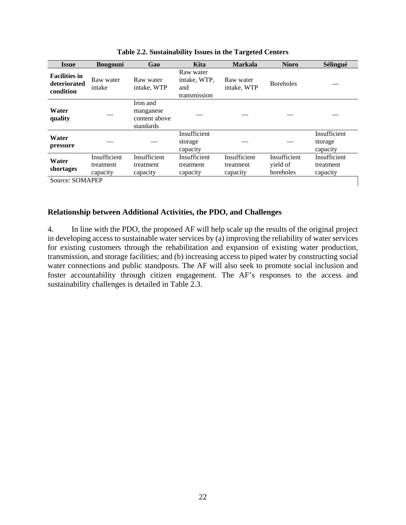| <b>Issue</b>                                      | <b>Bougouni</b>                       | Gao                                                 | Kita                                             | <b>Markala</b>                        | <b>Nioro</b>                          | Sélingué                              |
|---------------------------------------------------|---------------------------------------|-----------------------------------------------------|--------------------------------------------------|---------------------------------------|---------------------------------------|---------------------------------------|
| <b>Facilities in</b><br>deteriorated<br>condition | Raw water<br>intake                   | Raw water<br>intake, WTP                            | Raw water<br>intake, WTP.<br>and<br>transmission | Raw water<br>intake, WTP              | <b>Boreholes</b>                      |                                       |
| Water<br>quality                                  |                                       | Iron and<br>manganese<br>content above<br>standards |                                                  |                                       |                                       |                                       |
| Water<br>pressure                                 |                                       |                                                     | Insufficient<br>storage<br>capacity              |                                       |                                       | Insufficient<br>storage<br>capacity   |
| Water<br>shortages                                | Insufficient<br>treatment<br>capacity | Insufficient<br>treatment<br>capacity               | Insufficient<br>treatment<br>capacity            | Insufficient<br>treatment<br>capacity | Insufficient<br>yield of<br>boreholes | Insufficient<br>treatment<br>capacity |
| Source: SOMAPEP                                   |                                       |                                                     |                                                  |                                       |                                       |                                       |

**Relationship between Additional Activities, the PDO, and Challenges** 

4. In line with the PDO, the proposed AF will help scale up the results of the original project in developing access to sustainable water services by (a) improving the reliability of water services for existing customers through the rehabilitation and expansion of existing water production, transmission, and storage facilities; and (b) increasing access to piped water by constructing social water connections and public standposts. The AF will also seek to promote social inclusion and foster accountability through citizen engagement. The AF's responses to the access and sustainability challenges is detailed in Table 2.3.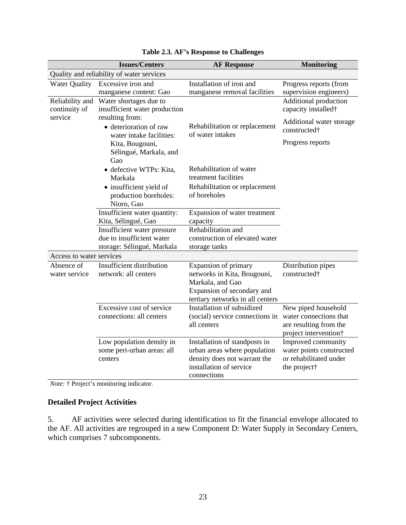|                                  | <b>Issues/Centers</b>                                                 | <b>AF Response</b>                                | <b>Monitoring</b>                                                         |
|----------------------------------|-----------------------------------------------------------------------|---------------------------------------------------|---------------------------------------------------------------------------|
|                                  | Quality and reliability of water services                             |                                                   |                                                                           |
| <b>Water Quality</b>             | Excessive iron and                                                    | Installation of iron and                          | Progress reports (from                                                    |
|                                  | manganese content: Gao                                                | manganese removal facilities                      | supervision engineers)                                                    |
| Reliability and<br>continuity of | Water shortages due to<br>insufficient water production               |                                                   | <b>Additional production</b><br>capacity installed <sup>†</sup>           |
| service                          | resulting from:<br>• deterioration of raw<br>water intake facilities: | Rehabilitation or replacement<br>of water intakes | Additional water storage<br>constructed <sup>+</sup>                      |
|                                  | Kita, Bougouni,<br>Sélingué, Markala, and<br>Gao                      |                                                   | Progress reports                                                          |
|                                  | · defective WTPs: Kita,<br>Markala                                    | Rehabilitation of water<br>treatment facilities   |                                                                           |
|                                  | • insufficient yield of<br>production boreholes:<br>Nioro, Gao        | Rehabilitation or replacement<br>of boreholes     |                                                                           |
|                                  | Insufficient water quantity:                                          | Expansion of water treatment                      |                                                                           |
|                                  | Kita, Sélingué, Gao                                                   | capacity                                          |                                                                           |
|                                  | Insufficient water pressure                                           | Rehabilitation and                                |                                                                           |
|                                  | due to insufficient water                                             | construction of elevated water                    |                                                                           |
|                                  | storage: Sélingué, Markala                                            | storage tanks                                     |                                                                           |
| Access to water services         |                                                                       |                                                   |                                                                           |
| Absence of                       | Insufficient distribution                                             | Expansion of primary                              | Distribution pipes                                                        |
| water service                    | network: all centers                                                  | networks in Kita, Bougouni,                       | constructed <sup>+</sup>                                                  |
|                                  |                                                                       | Markala, and Gao                                  |                                                                           |
|                                  |                                                                       | Expansion of secondary and                        |                                                                           |
|                                  |                                                                       | tertiary networks in all centers                  |                                                                           |
|                                  | Excessive cost of service                                             | Installation of subsidized                        | New piped household                                                       |
|                                  | connections: all centers                                              | (social) service connections in<br>all centers    | water connections that<br>are resulting from the<br>project intervention† |
|                                  | Low population density in                                             | Installation of standposts in                     | Improved community                                                        |
|                                  | some peri-urban areas: all                                            | urban areas where population                      | water points constructed                                                  |
|                                  | centers                                                               | density does not warrant the                      | or rehabilitated under                                                    |
|                                  |                                                                       | installation of service                           | the project†                                                              |
|                                  |                                                                       | connections                                       |                                                                           |

| Table 2.3. AF's Response to Challenges |  |  |
|----------------------------------------|--|--|
|----------------------------------------|--|--|

*Note:* † Project's monitoring indicator.

# **Detailed Project Activities**

5. AF activities were selected during identification to fit the financial envelope allocated to the AF. All activities are regrouped in a new Component D: Water Supply in Secondary Centers, which comprises 7 subcomponents.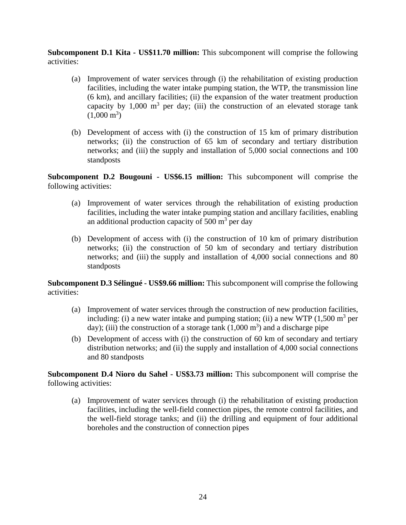**Subcomponent D.1 Kita - US\$11.70 million:** This subcomponent will comprise the following activities:

- (a) Improvement of water services through (i) the rehabilitation of existing production facilities, including the water intake pumping station, the WTP, the transmission line (6 km), and ancillary facilities; (ii) the expansion of the water treatment production capacity by  $1,000 \text{ m}^3$  per day; (iii) the construction of an elevated storage tank  $(1,000 \text{ m}^3)$
- (b) Development of access with (i) the construction of 15 km of primary distribution networks; (ii) the construction of 65 km of secondary and tertiary distribution networks; and (iii) the supply and installation of 5,000 social connections and 100 standposts

**Subcomponent D.2 Bougouni - US\$6.15 million:** This subcomponent will comprise the following activities:

- (a) Improvement of water services through the rehabilitation of existing production facilities, including the water intake pumping station and ancillary facilities, enabling an additional production capacity of  $500 \text{ m}^3$  per day
- (b) Development of access with (i) the construction of 10 km of primary distribution networks; (ii) the construction of 50 km of secondary and tertiary distribution networks; and (iii) the supply and installation of 4,000 social connections and 80 standposts

**Subcomponent D.3 Sélingué - US\$9.66 million:** This subcomponent will comprise the following activities:

- (a) Improvement of water services through the construction of new production facilities, including: (i) a new water intake and pumping station; (ii) a new WTP  $(1,500 \text{ m}^3 \text{ per})$ day); (iii) the construction of a storage tank  $(1,000 \text{ m}^3)$  and a discharge pipe
- (b) Development of access with (i) the construction of 60 km of secondary and tertiary distribution networks; and (ii) the supply and installation of 4,000 social connections and 80 standposts

**Subcomponent D.4 Nioro du Sahel - US\$3.73 million:** This subcomponent will comprise the following activities:

(a) Improvement of water services through (i) the rehabilitation of existing production facilities, including the well-field connection pipes, the remote control facilities, and the well-field storage tanks; and (ii) the drilling and equipment of four additional boreholes and the construction of connection pipes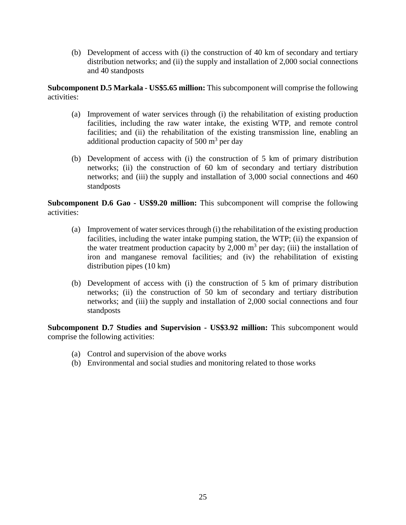(b) Development of access with (i) the construction of 40 km of secondary and tertiary distribution networks; and (ii) the supply and installation of 2,000 social connections and 40 standposts

**Subcomponent D.5 Markala - US\$5.65 million:** This subcomponent will comprise the following activities:

- (a) Improvement of water services through (i) the rehabilitation of existing production facilities, including the raw water intake, the existing WTP, and remote control facilities; and (ii) the rehabilitation of the existing transmission line, enabling an additional production capacity of  $500 \text{ m}^3$  per day
- (b) Development of access with (i) the construction of 5 km of primary distribution networks; (ii) the construction of 60 km of secondary and tertiary distribution networks; and (iii) the supply and installation of 3,000 social connections and 460 standposts

**Subcomponent D.6 Gao - US\$9.20 million:** This subcomponent will comprise the following activities:

- (a) Improvement of water services through (i) the rehabilitation of the existing production facilities, including the water intake pumping station, the WTP; (ii) the expansion of the water treatment production capacity by 2,000  $m<sup>3</sup>$  per day; (iii) the installation of iron and manganese removal facilities; and (iv) the rehabilitation of existing distribution pipes (10 km)
- (b) Development of access with (i) the construction of 5 km of primary distribution networks; (ii) the construction of 50 km of secondary and tertiary distribution networks; and (iii) the supply and installation of 2,000 social connections and four standposts

**Subcomponent D.7 Studies and Supervision - US\$3.92 million:** This subcomponent would comprise the following activities:

- (a) Control and supervision of the above works
- (b) Environmental and social studies and monitoring related to those works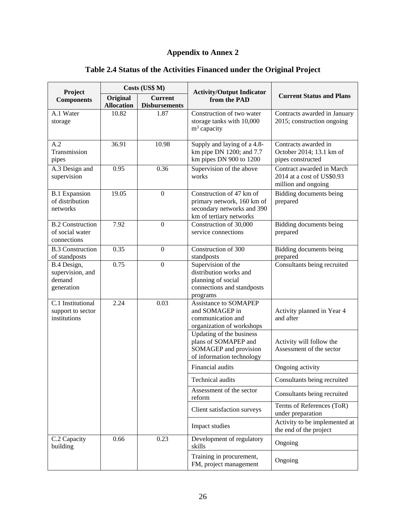# **Appendix to Annex 2**

| Project                                                   |                               | Costs (US\$ M)                         | <b>Activity/Output Indicator</b>                                                                                |                                                                                |  |
|-----------------------------------------------------------|-------------------------------|----------------------------------------|-----------------------------------------------------------------------------------------------------------------|--------------------------------------------------------------------------------|--|
| <b>Components</b>                                         | Original<br><b>Allocation</b> | <b>Current</b><br><b>Disbursements</b> | from the PAD                                                                                                    | <b>Current Status and Plans</b>                                                |  |
| A.1 Water<br>storage                                      | 10.82                         | 1.87                                   | Construction of two water<br>storage tanks with 10,000<br>$m3$ capacity                                         | Contracts awarded in January<br>2015; construction ongoing                     |  |
| A.2<br>Transmission<br>pipes                              | 36.91                         | 10.98                                  | Supply and laying of a 4.8-<br>km pipe DN 1200; and 7.7<br>km pipes DN 900 to 1200                              | Contracts awarded in<br>October 2014; 13.1 km of<br>pipes constructed          |  |
| A.3 Design and<br>supervision                             | 0.95                          | 0.36                                   | Supervision of the above<br>works                                                                               | Contract awarded in March<br>2014 at a cost of US\$0.93<br>million and ongoing |  |
| <b>B.1 Expansion</b><br>of distribution<br>networks       | 19.05                         | $\mathbf{0}$                           | Construction of 47 km of<br>primary network, 160 km of<br>secondary networks and 390<br>km of tertiary networks | Bidding documents being<br>prepared                                            |  |
| <b>B.2 Construction</b><br>of social water<br>connections | 7.92                          | $\mathbf{0}$                           | Construction of 30,000<br>service connections                                                                   | Bidding documents being<br>prepared                                            |  |
| <b>B.3 Construction</b><br>of standposts                  | 0.35                          | $\overline{0}$                         | Construction of 300<br>standposts                                                                               | <b>Bidding documents being</b><br>prepared                                     |  |
| B.4 Design,<br>supervision, and<br>demand<br>generation   | 0.75                          | $\mathbf{0}$                           | Supervision of the<br>distribution works and<br>planning of social<br>connections and standposts<br>programs    | Consultants being recruited                                                    |  |
| C.1 Institutional<br>support to sector<br>institutions    | 2.24                          | 0.03                                   | <b>Assistance to SOMAPEP</b><br>and SOMAGEP in<br>communication and<br>organization of workshops                | Activity planned in Year 4<br>and after                                        |  |
|                                                           |                               |                                        | Updating of the business<br>plans of SOMAPEP and<br>SOMAGEP and provision<br>of information technology          | Activity will follow the<br>Assessment of the sector                           |  |
|                                                           |                               |                                        | Financial audits                                                                                                | Ongoing activity                                                               |  |
|                                                           |                               |                                        | Technical audits                                                                                                | Consultants being recruited                                                    |  |
|                                                           |                               |                                        | Assessment of the sector<br>reform                                                                              | Consultants being recruited                                                    |  |
|                                                           |                               |                                        | Client satisfaction surveys                                                                                     | Terms of References (ToR)<br>under preparation                                 |  |
|                                                           |                               |                                        | Impact studies                                                                                                  | Activity to be implemented at<br>the end of the project                        |  |
| C.2 Capacity<br>building                                  | 0.66                          | 0.23                                   | Development of regulatory<br>skills                                                                             | Ongoing                                                                        |  |
|                                                           |                               |                                        | Training in procurement,<br>FM, project management                                                              | Ongoing                                                                        |  |

# **Table 2.4 Status of the Activities Financed under the Original Project**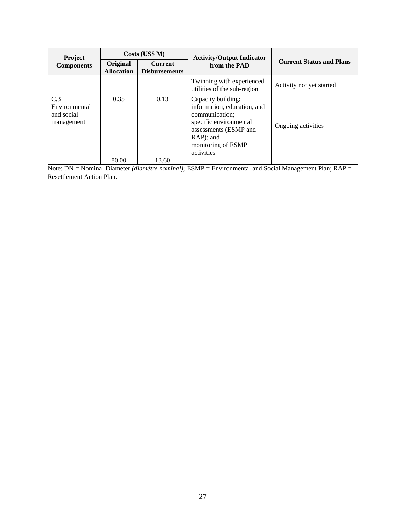| <b>Project</b>                                   | Costs (US\$ M)                |                                        | <b>Activity/Output Indicator</b>                                                                                                                                        |                                 |  |
|--------------------------------------------------|-------------------------------|----------------------------------------|-------------------------------------------------------------------------------------------------------------------------------------------------------------------------|---------------------------------|--|
| <b>Components</b>                                | Original<br><b>Allocation</b> | <b>Current</b><br><b>Disbursements</b> | from the PAD                                                                                                                                                            | <b>Current Status and Plans</b> |  |
|                                                  |                               |                                        | Twinning with experienced<br>utilities of the sub-region                                                                                                                | Activity not yet started        |  |
| C.3<br>Environmental<br>and social<br>management | 0.35                          | 0.13                                   | Capacity building;<br>information, education, and<br>communication;<br>specific environmental<br>assessments (ESMP and<br>RAP); and<br>monitoring of ESMP<br>activities | Ongoing activities              |  |
|                                                  | 80.00                         | 13.60                                  |                                                                                                                                                                         |                                 |  |

Note: DN = Nominal Diameter *(diamètre nominal)*; ESMP = Environmental and Social Management Plan; RAP = Resettlement Action Plan.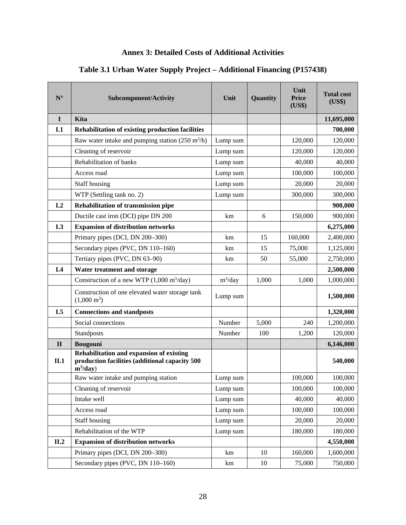# **Annex 3: Detailed Costs of Additional Activities**

# **Table 3.1 Urban Water Supply Project – Additional Financing (P157438)**

| $\mathbf{N}^\circ$ | Subcomponent/Activity                                                                                     | Unit       | Quantity | Unit<br><b>Price</b><br>(US\$) | <b>Total cost</b><br>(US\$) |
|--------------------|-----------------------------------------------------------------------------------------------------------|------------|----------|--------------------------------|-----------------------------|
| $\mathbf I$        | Kita                                                                                                      |            |          |                                | 11,695,000                  |
| I.1                | Rehabilitation of existing production facilities                                                          |            |          |                                | 700,000                     |
|                    | Raw water intake and pumping station $(250 \text{ m}^3/\text{h})$                                         | Lump sum   |          | 120,000                        | 120,000                     |
|                    | Cleaning of reservoir                                                                                     | Lump sum   |          | 120,000                        | 120,000                     |
|                    | Rehabilitation of banks                                                                                   | Lump sum   |          | 40,000                         | 40,000                      |
|                    | Access road                                                                                               | Lump sum   |          | 100,000                        | 100,000                     |
|                    | Staff housing                                                                                             | Lump sum   |          | 20,000                         | 20,000                      |
|                    | WTP (Settling tank no. 2)                                                                                 | Lump sum   |          | 300,000                        | 300,000                     |
| I <sub>1</sub> 2   | Rehabilitation of transmission pipe                                                                       |            |          |                                | 900,000                     |
|                    | Ductile cast iron (DCI) pipe DN 200                                                                       | km         | 6        | 150,000                        | 900,000                     |
| I.3                | <b>Expansion of distribution networks</b>                                                                 |            |          |                                | 6,275,000                   |
|                    | Primary pipes (DCI, DN 200-300)                                                                           | km         | 15       | 160,000                        | 2,400,000                   |
|                    | Secondary pipes (PVC, DN 110-160)                                                                         | km         | 15       | 75,000                         | 1,125,000                   |
|                    | Tertiary pipes (PVC, DN 63-90)                                                                            | km         | 50       | 55,000                         | 2,750,000                   |
| I.4                | Water treatment and storage                                                                               |            |          |                                | 2,500,000                   |
|                    | Construction of a new WTP $(1,000 \text{ m}^3/\text{day})$                                                | $m^3$ /day | 1,000    | 1,000                          | 1,000,000                   |
|                    | Construction of one elevated water storage tank<br>$(1,000 \text{ m}^3)$                                  | Lump sum   |          |                                | 1,500,000                   |
| I.5                | <b>Connections and standposts</b>                                                                         |            |          |                                | 1,320,000                   |
|                    | Social connections                                                                                        | Number     | 5,000    | 240                            | 1,200,000                   |
|                    | Standposts                                                                                                | Number     | 100      | 1,200                          | 120,000                     |
| $\mathbf{I}$       | <b>Bougouni</b>                                                                                           |            |          |                                | 6,146,000                   |
| II.1               | Rehabilitation and expansion of existing<br>production facilities (additional capacity 500<br>$m^3$ /day) |            |          |                                | 540,000                     |
|                    | Raw water intake and pumping station                                                                      | Lump sum   |          | 100,000                        | 100,000                     |
|                    | Cleaning of reservoir                                                                                     | Lump sum   |          | 100,000                        | 100,000                     |
|                    | Intake well                                                                                               | Lump sum   |          | 40,000                         | 40,000                      |
|                    | Access road                                                                                               | Lump sum   |          | 100,000                        | 100,000                     |
|                    | <b>Staff housing</b>                                                                                      | Lump sum   |          | 20,000                         | 20,000                      |
|                    | Rehabilitation of the WTP                                                                                 | Lump sum   |          | 180,000                        | 180,000                     |
| II.2               | <b>Expansion of distribution networks</b>                                                                 |            |          |                                | 4,550,000                   |
|                    | Primary pipes (DCI, DN 200-300)                                                                           | km         | 10       | 160,000                        | 1,600,000                   |
|                    | Secondary pipes (PVC, DN 110-160)                                                                         | km         | 10       | 75,000                         | 750,000                     |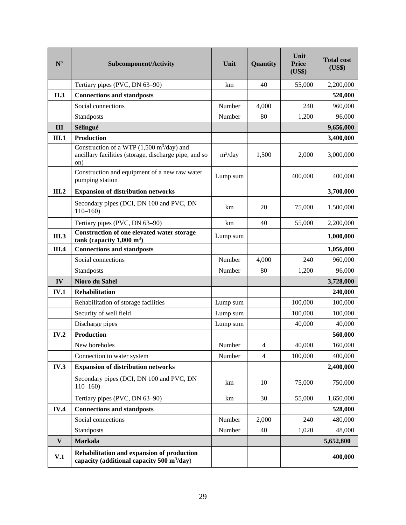| ${\bf N}^{\circ}$ | Subcomponent/Activity                                                                                                      | Unit       | Quantity       | Unit<br><b>Price</b><br>(US\$) | <b>Total cost</b><br>(US\$) |
|-------------------|----------------------------------------------------------------------------------------------------------------------------|------------|----------------|--------------------------------|-----------------------------|
|                   | Tertiary pipes (PVC, DN 63-90)                                                                                             | km         | 40             | 55,000                         | 2,200,000                   |
| II.3              | <b>Connections and standposts</b>                                                                                          |            |                |                                | 520,000                     |
|                   | Social connections                                                                                                         | Number     | 4,000          | 240                            | 960,000                     |
|                   | Standposts                                                                                                                 | Number     | 80             | 1,200                          | 96,000                      |
| III               | Sélingué                                                                                                                   |            |                |                                | 9,656,000                   |
| III.1             | <b>Production</b>                                                                                                          |            |                |                                | 3,400,000                   |
|                   | Construction of a WTP $(1,500 \text{ m}^3/\text{day})$ and<br>ancillary facilities (storage, discharge pipe, and so<br>on) | $m^3$ /day | 1,500          | 2,000                          | 3,000,000                   |
|                   | Construction and equipment of a new raw water<br>pumping station                                                           | Lump sum   |                | 400,000                        | 400,000                     |
| <b>III.2</b>      | <b>Expansion of distribution networks</b>                                                                                  |            |                |                                | 3,700,000                   |
|                   | Secondary pipes (DCI, DN 100 and PVC, DN<br>$110 - 160$                                                                    | km         | 20             | 75,000                         | 1,500,000                   |
|                   | Tertiary pipes (PVC, DN 63-90)                                                                                             | km         | 40             | 55,000                         | 2,200,000                   |
| <b>III.3</b>      | <b>Construction of one elevated water storage</b><br>tank (capacity $1,000 \text{ m}^3$ )                                  | Lump sum   |                |                                | 1,000,000                   |
| III.4             | <b>Connections and standposts</b>                                                                                          |            |                |                                | 1,056,000                   |
|                   | Social connections                                                                                                         | Number     | 4,000          | 240                            | 960,000                     |
|                   | Standposts                                                                                                                 | Number     | 80             | 1,200                          | 96,000                      |
| IV                | Nioro du Sahel                                                                                                             |            |                |                                | 3,728,000                   |
| <b>IV.1</b>       | <b>Rehabilitation</b>                                                                                                      |            |                |                                | 240,000                     |
|                   | Rehabilitation of storage facilities                                                                                       | Lump sum   |                | 100,000                        | 100,000                     |
|                   | Security of well field                                                                                                     | Lump sum   |                | 100,000                        | 100,000                     |
|                   | Discharge pipes                                                                                                            | Lump sum   |                | 40,000                         | 40,000                      |
| IV.2              | <b>Production</b>                                                                                                          |            |                |                                | 560,000                     |
|                   | New boreholes                                                                                                              | Number     | $\overline{4}$ | 40,000                         | 160,000                     |
|                   | Connection to water system                                                                                                 | Number     | $\overline{4}$ | 100,000                        | 400,000                     |
| IV.3              | <b>Expansion of distribution networks</b>                                                                                  |            |                |                                | 2,400,000                   |
|                   | Secondary pipes (DCI, DN 100 and PVC, DN<br>$110 - 160$                                                                    | km         | 10             | 75,000                         | 750,000                     |
|                   | Tertiary pipes (PVC, DN 63-90)                                                                                             | km         | 30             | 55,000                         | 1,650,000                   |
| <b>IV.4</b>       | <b>Connections and standposts</b>                                                                                          |            |                |                                | 528,000                     |
|                   | Social connections                                                                                                         | Number     | 2,000          | 240                            | 480,000                     |
|                   | Standposts                                                                                                                 | Number     | 40             | 1,020                          | 48,000                      |
| $\mathbf{V}$      | <b>Markala</b>                                                                                                             |            |                |                                | 5,652,800                   |
| V.1               | Rehabilitation and expansion of production<br>capacity (additional capacity $500 \text{ m}^3/\text{day}$ )                 |            |                |                                | 400,000                     |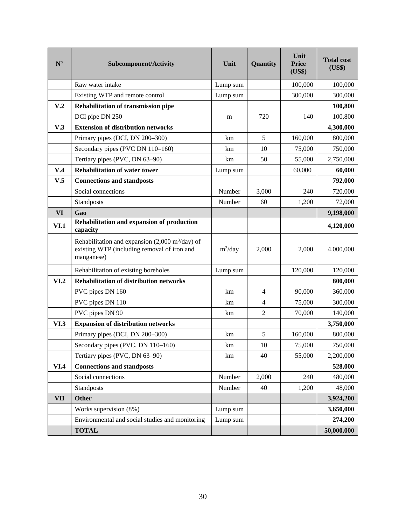| $\mathbf{N}^\circ$ | <b>Subcomponent/Activity</b>                                                                                                  | Unit       | Quantity       | Unit<br><b>Price</b><br>(US\$) | <b>Total cost</b><br>(US\$) |
|--------------------|-------------------------------------------------------------------------------------------------------------------------------|------------|----------------|--------------------------------|-----------------------------|
|                    | Raw water intake                                                                                                              | Lump sum   |                | 100,000                        | 100,000                     |
|                    | Existing WTP and remote control                                                                                               | Lump sum   |                | 300,000                        | 300,000                     |
| V <sub>.2</sub>    | <b>Rehabilitation of transmission pipe</b>                                                                                    |            |                |                                | 100,800                     |
|                    | DCI pipe DN 250                                                                                                               | m          | 720            | 140                            | 100,800                     |
| V.3                | <b>Extension of distribution networks</b>                                                                                     |            |                |                                | 4,300,000                   |
|                    | Primary pipes (DCI, DN 200-300)                                                                                               | km         | 5              | 160,000                        | 800,000                     |
|                    | Secondary pipes (PVC DN 110-160)                                                                                              | km         | 10             | 75,000                         | 750,000                     |
|                    | Tertiary pipes (PVC, DN 63-90)                                                                                                | km         | 50             | 55,000                         | 2,750,000                   |
| V.4                | <b>Rehabilitation of water tower</b>                                                                                          | Lump sum   |                | 60,000                         | 60,000                      |
| V.5                | <b>Connections and standposts</b>                                                                                             |            |                |                                | 792,000                     |
|                    | Social connections                                                                                                            | Number     | 3,000          | 240                            | 720,000                     |
|                    | Standposts                                                                                                                    | Number     | 60             | 1,200                          | 72,000                      |
| <b>VI</b>          | Gao                                                                                                                           |            |                |                                | 9,198,000                   |
| VI.1               | Rehabilitation and expansion of production<br>capacity                                                                        |            |                |                                | 4,120,000                   |
|                    | Rehabilitation and expansion $(2,000 \text{ m}^3/\text{day})$ of<br>existing WTP (including removal of iron and<br>manganese) | $m^3$ /day | 2,000          | 2,000                          | 4,000,000                   |
|                    | Rehabilitation of existing boreholes                                                                                          | Lump sum   |                | 120,000                        | 120,000                     |
| VI.2               | <b>Rehabilitation of distribution networks</b>                                                                                |            |                |                                | 800,000                     |
|                    | PVC pipes DN 160                                                                                                              | km         | 4              | 90,000                         | 360,000                     |
|                    | PVC pipes DN 110                                                                                                              | km         | $\overline{4}$ | 75,000                         | 300,000                     |
|                    | PVC pipes DN 90                                                                                                               | km         | $\overline{2}$ | 70,000                         | 140,000                     |
| VI.3               | <b>Expansion of distribution networks</b>                                                                                     |            |                |                                | 3,750,000                   |
|                    | Primary pipes (DCI, DN 200-300)                                                                                               | km         | 5              | 160,000                        | 800,000                     |
|                    | Secondary pipes (PVC, DN 110-160)                                                                                             | km         | 10             | 75,000                         | 750,000                     |
|                    | Tertiary pipes (PVC, DN 63-90)                                                                                                | km         | 40             | 55,000                         | 2,200,000                   |
| VI.4               | <b>Connections and standposts</b>                                                                                             |            |                |                                | 528,000                     |
|                    | Social connections                                                                                                            | Number     | 2,000          | 240                            | 480,000                     |
|                    | Standposts                                                                                                                    | Number     | 40             | 1,200                          | 48,000                      |
| <b>VII</b>         | <b>Other</b>                                                                                                                  |            |                |                                | 3,924,200                   |
|                    | Works supervision (8%)                                                                                                        | Lump sum   |                |                                | 3,650,000                   |
|                    | Environmental and social studies and monitoring                                                                               | Lump sum   |                |                                | 274,200                     |
|                    | <b>TOTAL</b>                                                                                                                  |            |                |                                | 50,000,000                  |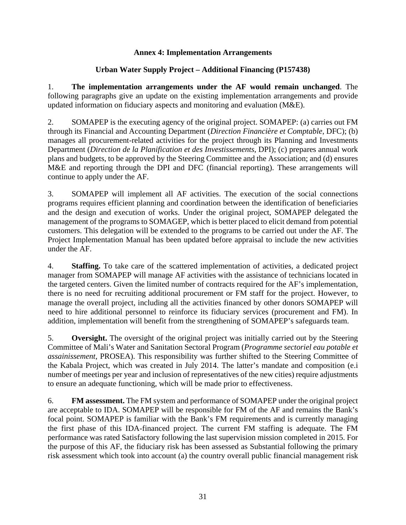### **Annex 4: Implementation Arrangements**

### **Urban Water Supply Project – Additional Financing (P157438)**

1. **The implementation arrangements under the AF would remain unchanged**. The following paragraphs give an update on the existing implementation arrangements and provide updated information on fiduciary aspects and monitoring and evaluation (M&E).

2. SOMAPEP is the executing agency of the original project. SOMAPEP: (a) carries out FM through its Financial and Accounting Department (*Direction Financière et Comptable*, DFC); (b) manages all procurement-related activities for the project through its Planning and Investments Department (*Direction de la Planification et des Investissements*, DPI); (c) prepares annual work plans and budgets, to be approved by the Steering Committee and the Association; and (d) ensures M&E and reporting through the DPI and DFC (financial reporting). These arrangements will continue to apply under the AF.

3. SOMAPEP will implement all AF activities. The execution of the social connections programs requires efficient planning and coordination between the identification of beneficiaries and the design and execution of works. Under the original project, SOMAPEP delegated the management of the programs to SOMAGEP, which is better placed to elicit demand from potential customers. This delegation will be extended to the programs to be carried out under the AF. The Project Implementation Manual has been updated before appraisal to include the new activities under the AF.

4. **Staffing.** To take care of the scattered implementation of activities, a dedicated project manager from SOMAPEP will manage AF activities with the assistance of technicians located in the targeted centers. Given the limited number of contracts required for the AF's implementation, there is no need for recruiting additional procurement or FM staff for the project. However, to manage the overall project, including all the activities financed by other donors SOMAPEP will need to hire additional personnel to reinforce its fiduciary services (procurement and FM). In addition, implementation will benefit from the strengthening of SOMAPEP's safeguards team.

5. **Oversight.** The oversight of the original project was initially carried out by the Steering Committee of Mali's Water and Sanitation Sectoral Program (*Programme sectoriel eau potable et assainissement*, PROSEA). This responsibility was further shifted to the Steering Committee of the Kabala Project, which was created in July 2014. The latter's mandate and composition (e.i number of meetings per year and inclusion of representatives of the new cities) require adjustments to ensure an adequate functioning, which will be made prior to effectiveness.

6. **FM assessment.** The FM system and performance of SOMAPEP under the original project are acceptable to IDA. SOMAPEP will be responsible for FM of the AF and remains the Bank's focal point. SOMAPEP is familiar with the Bank's FM requirements and is currently managing the first phase of this IDA-financed project. The current FM staffing is adequate. The FM performance was rated Satisfactory following the last supervision mission completed in 2015. For the purpose of this AF, the fiduciary risk has been assessed as Substantial following the primary risk assessment which took into account (a) the country overall public financial management risk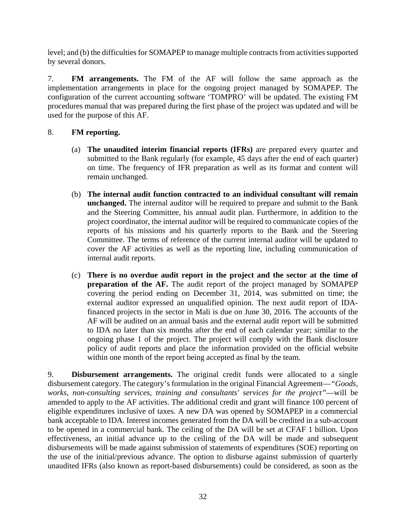level; and (b) the difficulties for SOMAPEP to manage multiple contracts from activities supported by several donors.

7. **FM arrangements.** The FM of the AF will follow the same approach as the implementation arrangements in place for the ongoing project managed by SOMAPEP. The configuration of the current accounting software 'TOMPRO' will be updated. The existing FM procedures manual that was prepared during the first phase of the project was updated and will be used for the purpose of this AF.

### 8. **FM reporting.**

- (a) **The unaudited interim financial reports (IFRs)** are prepared every quarter and submitted to the Bank regularly (for example, 45 days after the end of each quarter) on time. The frequency of IFR preparation as well as its format and content will remain unchanged.
- (b) **The internal audit function contracted to an individual consultant will remain unchanged.** The internal auditor will be required to prepare and submit to the Bank and the Steering Committee, his annual audit plan. Furthermore, in addition to the project coordinator, the internal auditor will be required to communicate copies of the reports of his missions and his quarterly reports to the Bank and the Steering Committee. The terms of reference of the current internal auditor will be updated to cover the AF activities as well as the reporting line, including communication of internal audit reports.
- (c) **There is no overdue audit report in the project and the sector at the time of preparation of the AF.** The audit report of the project managed by SOMAPEP covering the period ending on December 31, 2014, was submitted on time; the external auditor expressed an unqualified opinion. The next audit report of IDAfinanced projects in the sector in Mali is due on June 30, 2016. The accounts of the AF will be audited on an annual basis and the external audit report will be submitted to IDA no later than six months after the end of each calendar year; similar to the ongoing phase 1 of the project. The project will comply with the Bank disclosure policy of audit reports and place the information provided on the official website within one month of the report being accepted as final by the team.

9. **Disbursement arrangements.** The original credit funds were allocated to a single disbursement category. The category's formulation in the original Financial Agreement—*"Goods, works, non-consulting services, training and consultants' services for the project"*—will be amended to apply to the AF activities. The additional credit and grant will finance 100 percent of eligible expenditures inclusive of taxes. A new DA was opened by SOMAPEP in a commercial bank acceptable to IDA. Interest incomes generated from the DA will be credited in a sub-account to be opened in a commercial bank. The ceiling of the DA will be set at CFAF 1 billion. Upon effectiveness, an initial advance up to the ceiling of the DA will be made and subsequent disbursements will be made against submission of statements of expenditures (SOE) reporting on the use of the initial/previous advance. The option to disburse against submission of quarterly unaudited IFRs (also known as report-based disbursements) could be considered, as soon as the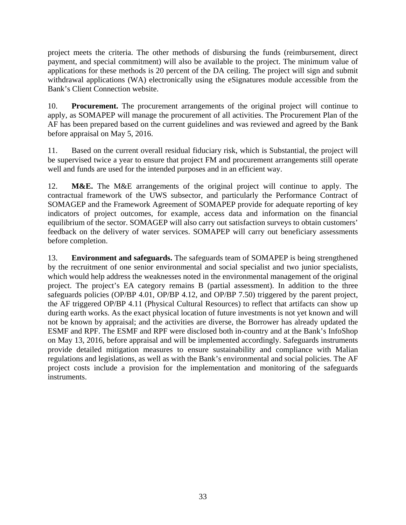project meets the criteria. The other methods of disbursing the funds (reimbursement, direct payment, and special commitment) will also be available to the project. The minimum value of applications for these methods is 20 percent of the DA ceiling. The project will sign and submit withdrawal applications (WA) electronically using the eSignatures module accessible from the Bank's Client Connection website.

10. **Procurement.** The procurement arrangements of the original project will continue to apply, as SOMAPEP will manage the procurement of all activities. The Procurement Plan of the AF has been prepared based on the current guidelines and was reviewed and agreed by the Bank before appraisal on May 5, 2016.

11. Based on the current overall residual fiduciary risk, which is Substantial, the project will be supervised twice a year to ensure that project FM and procurement arrangements still operate well and funds are used for the intended purposes and in an efficient way.

12. **M&E.** The M&E arrangements of the original project will continue to apply. The contractual framework of the UWS subsector, and particularly the Performance Contract of SOMAGEP and the Framework Agreement of SOMAPEP provide for adequate reporting of key indicators of project outcomes, for example, access data and information on the financial equilibrium of the sector. SOMAGEP will also carry out satisfaction surveys to obtain customers' feedback on the delivery of water services. SOMAPEP will carry out beneficiary assessments before completion.

13. **Environment and safeguards.** The safeguards team of SOMAPEP is being strengthened by the recruitment of one senior environmental and social specialist and two junior specialists, which would help address the weaknesses noted in the environmental management of the original project. The project's EA category remains B (partial assessment). In addition to the three safeguards policies (OP/BP 4.01, OP/BP 4.12, and OP/BP 7.50) triggered by the parent project, the AF triggered OP/BP 4.11 (Physical Cultural Resources) to reflect that artifacts can show up during earth works. As the exact physical location of future investments is not yet known and will not be known by appraisal; and the activities are diverse, the Borrower has already updated the ESMF and RPF. The ESMF and RPF were disclosed both in-country and at the Bank's InfoShop on May 13, 2016, before appraisal and will be implemented accordingly. Safeguards instruments provide detailed mitigation measures to ensure sustainability and compliance with Malian regulations and legislations, as well as with the Bank's environmental and social policies. The AF project costs include a provision for the implementation and monitoring of the safeguards instruments.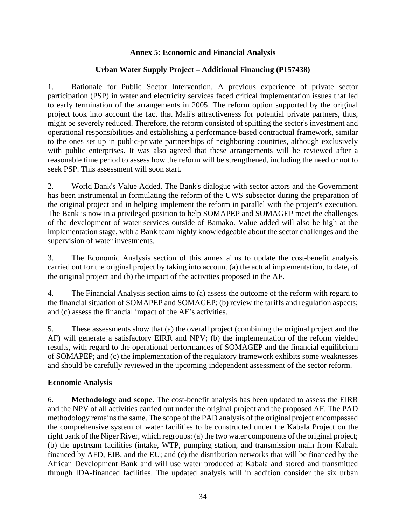### **Annex 5: Economic and Financial Analysis**

### **Urban Water Supply Project – Additional Financing (P157438)**

1. Rationale for Public Sector Intervention. A previous experience of private sector participation (PSP) in water and electricity services faced critical implementation issues that led to early termination of the arrangements in 2005. The reform option supported by the original project took into account the fact that Mali's attractiveness for potential private partners, thus, might be severely reduced. Therefore, the reform consisted of splitting the sector's investment and operational responsibilities and establishing a performance-based contractual framework, similar to the ones set up in public-private partnerships of neighboring countries, although exclusively with public enterprises. It was also agreed that these arrangements will be reviewed after a reasonable time period to assess how the reform will be strengthened, including the need or not to seek PSP. This assessment will soon start.

2. World Bank's Value Added. The Bank's dialogue with sector actors and the Government has been instrumental in formulating the reform of the UWS subsector during the preparation of the original project and in helping implement the reform in parallel with the project's execution. The Bank is now in a privileged position to help SOMAPEP and SOMAGEP meet the challenges of the development of water services outside of Bamako. Value added will also be high at the implementation stage, with a Bank team highly knowledgeable about the sector challenges and the supervision of water investments.

3. The Economic Analysis section of this annex aims to update the cost-benefit analysis carried out for the original project by taking into account (a) the actual implementation, to date, of the original project and (b) the impact of the activities proposed in the AF.

4. The Financial Analysis section aims to (a) assess the outcome of the reform with regard to the financial situation of SOMAPEP and SOMAGEP; (b) review the tariffs and regulation aspects; and (c) assess the financial impact of the AF's activities.

5. These assessments show that (a) the overall project (combining the original project and the AF) will generate a satisfactory EIRR and NPV; (b) the implementation of the reform yielded results, with regard to the operational performances of SOMAGEP and the financial equilibrium of SOMAPEP; and (c) the implementation of the regulatory framework exhibits some weaknesses and should be carefully reviewed in the upcoming independent assessment of the sector reform.

### **Economic Analysis**

6. **Methodology and scope.** The cost-benefit analysis has been updated to assess the EIRR and the NPV of all activities carried out under the original project and the proposed AF. The PAD methodology remains the same. The scope of the PAD analysis of the original project encompassed the comprehensive system of water facilities to be constructed under the Kabala Project on the right bank of the Niger River, which regroups: (a) the two water components of the original project; (b) the upstream facilities (intake, WTP, pumping station, and transmission main from Kabala financed by AFD, EIB, and the EU; and (c) the distribution networks that will be financed by the African Development Bank and will use water produced at Kabala and stored and transmitted through IDA-financed facilities. The updated analysis will in addition consider the six urban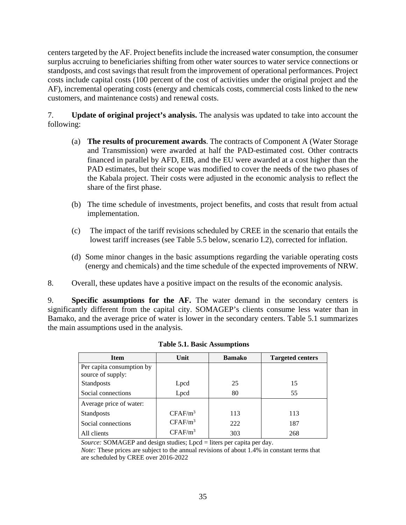centers targeted by the AF. Project benefits include the increased water consumption, the consumer surplus accruing to beneficiaries shifting from other water sources to water service connections or standposts, and cost savings that result from the improvement of operational performances. Project costs include capital costs (100 percent of the cost of activities under the original project and the AF), incremental operating costs (energy and chemicals costs, commercial costs linked to the new customers, and maintenance costs) and renewal costs.

7. **Update of original project's analysis.** The analysis was updated to take into account the following:

- (a) **The results of procurement awards**. The contracts of Component A (Water Storage and Transmission) were awarded at half the PAD-estimated cost. Other contracts financed in parallel by AFD, EIB, and the EU were awarded at a cost higher than the PAD estimates, but their scope was modified to cover the needs of the two phases of the Kabala project. Their costs were adjusted in the economic analysis to reflect the share of the first phase.
- (b) The time schedule of investments, project benefits, and costs that result from actual implementation.
- (c) The impact of the tariff revisions scheduled by CREE in the scenario that entails the lowest tariff increases (see Table 5.5 below, scenario I.2), corrected for inflation.
- (d) Some minor changes in the basic assumptions regarding the variable operating costs (energy and chemicals) and the time schedule of the expected improvements of NRW.
- 8. Overall, these updates have a positive impact on the results of the economic analysis.

9. **Specific assumptions for the AF.** The water demand in the secondary centers is significantly different from the capital city. SOMAGEP's clients consume less water than in Bamako, and the average price of water is lower in the secondary centers. Table 5.1 summarizes the main assumptions used in the analysis.

| <b>Item</b>                                    | Unit                | <b>Bamako</b> | <b>Targeted centers</b> |
|------------------------------------------------|---------------------|---------------|-------------------------|
| Per capita consumption by<br>source of supply: |                     |               |                         |
| Standposts                                     | Lpcd                | 25            | 15                      |
| Social connections                             | Lpcd                | 80            | 55                      |
| Average price of water:                        |                     |               |                         |
| <b>Standposts</b>                              | CFAF/m <sup>3</sup> | 113           | 113                     |
| Social connections                             | $CFAF/m^3$          | 222           | 187                     |
| All clients                                    | $CFAF/m^3$          | 303           | 268                     |

**Table 5.1. Basic Assumptions** 

*Source:* SOMAGEP and design studies; Lpcd = liters per capita per day.

*Note:* These prices are subject to the annual revisions of about 1.4% in constant terms that are scheduled by CREE over 2016-2022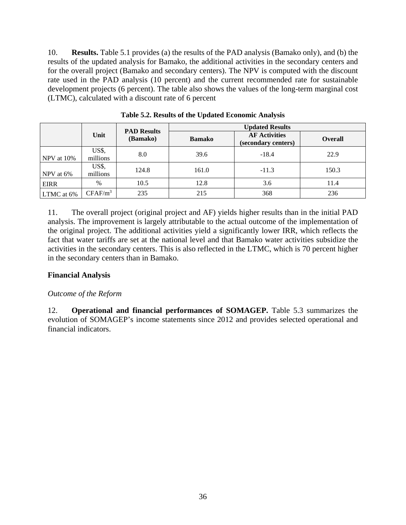10. **Results.** Table 5.1 provides (a) the results of the PAD analysis (Bamako only), and (b) the results of the updated analysis for Bamako, the additional activities in the secondary centers and for the overall project (Bamako and secondary centers). The NPV is computed with the discount rate used in the PAD analysis (10 percent) and the current recommended rate for sustainable development projects (6 percent). The table also shows the values of the long-term marginal cost (LTMC), calculated with a discount rate of 6 percent

|             |                   | <b>PAD Results</b>        | <b>Updated Results</b> |                                             |         |  |  |
|-------------|-------------------|---------------------------|------------------------|---------------------------------------------|---------|--|--|
|             | Unit              | (Bamako)<br><b>Bamako</b> |                        | <b>AF Activities</b><br>(secondary centers) | Overall |  |  |
| NPV at 10%  | US\$,<br>millions | 8.0                       | 39.6                   | $-18.4$                                     | 22.9    |  |  |
| NPV at 6%   | US\$,<br>millions | 124.8                     | 161.0                  | $-11.3$                                     | 150.3   |  |  |
| <b>EIRR</b> | $\%$              | 10.5                      | 12.8                   | 3.6                                         | 11.4    |  |  |
| LTMC at 6%  | $CFAF/m^3$        | 235                       | 215                    | 368                                         | 236     |  |  |

**Table 5.2. Results of the Updated Economic Analysis** 

11. The overall project (original project and AF) yields higher results than in the initial PAD analysis. The improvement is largely attributable to the actual outcome of the implementation of the original project. The additional activities yield a significantly lower IRR, which reflects the fact that water tariffs are set at the national level and that Bamako water activities subsidize the activities in the secondary centers. This is also reflected in the LTMC, which is 70 percent higher in the secondary centers than in Bamako.

### **Financial Analysis**

### *Outcome of the Reform*

12. **Operational and financial performances of SOMAGEP.** Table 5.3 summarizes the evolution of SOMAGEP's income statements since 2012 and provides selected operational and financial indicators.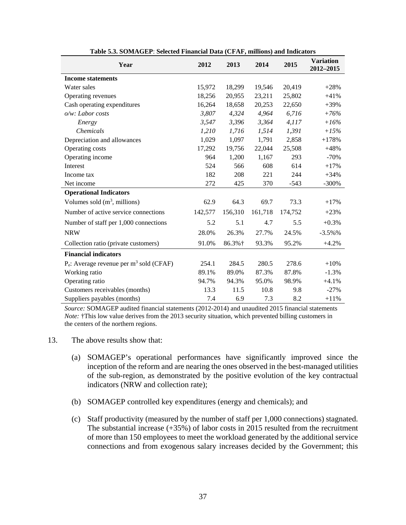| Year                                                   | 2012    | 2013    | 2014    | 2015    | <b>Variation</b><br>2012-2015 |
|--------------------------------------------------------|---------|---------|---------|---------|-------------------------------|
| <b>Income statements</b>                               |         |         |         |         |                               |
| Water sales                                            | 15,972  | 18,299  | 19,546  | 20,419  | $+28%$                        |
| Operating revenues                                     | 18,256  | 20,955  | 23,211  | 25,802  | $+41%$                        |
| Cash operating expenditures                            | 16,264  | 18,658  | 20,253  | 22,650  | $+39%$                        |
| o/w: Labor costs                                       | 3,807   | 4,324   | 4,964   | 6,716   | $+76%$                        |
| Energy                                                 | 3,547   | 3,396   | 3,364   | 4,117   | $+16%$                        |
| <i>Chemicals</i>                                       | 1,210   | 1,716   | 1,514   | 1,391   | $+15%$                        |
| Depreciation and allowances                            | 1,029   | 1,097   | 1,791   | 2,858   | $+178%$                       |
| Operating costs                                        | 17,292  | 19,756  | 22,044  | 25,508  | $+48%$                        |
| Operating income                                       | 964     | 1,200   | 1,167   | 293     | $-70%$                        |
| Interest                                               | 524     | 566     | 608     | 614     | $+17%$                        |
| Income tax                                             | 182     | 208     | 221     | 244     | $+34%$                        |
| Net income                                             | 272     | 425     | 370     | $-543$  | $-300%$                       |
| <b>Operational Indicators</b>                          |         |         |         |         |                               |
| Volumes sold $(m^3,$ millions)                         | 62.9    | 64.3    | 69.7    | 73.3    | $+17%$                        |
| Number of active service connections                   | 142,577 | 156,310 | 161,718 | 174,752 | $+23%$                        |
| Number of staff per 1,000 connections                  | 5.2     | 5.1     | 4.7     | 5.5     | $+0.3%$                       |
| <b>NRW</b>                                             | 28.0%   | 26.3%   | 27.7%   | 24.5%   | $-3.5\%$ %                    |
| Collection ratio (private customers)                   | 91.0%   | 86.3%+  | 93.3%   | 95.2%   | $+4.2%$                       |
| <b>Financial indicators</b>                            |         |         |         |         |                               |
| $P_e$ : Average revenue per m <sup>3</sup> sold (CFAF) | 254.1   | 284.5   | 280.5   | 278.6   | $+10%$                        |
| Working ratio                                          | 89.1%   | 89.0%   | 87.3%   | 87.8%   | $-1.3%$                       |
| Operating ratio                                        | 94.7%   | 94.3%   | 95.0%   | 98.9%   | $+4.1%$                       |
| Customers receivables (months)                         | 13.3    | 11.5    | 10.8    | 9.8     | $-27%$                        |
| Suppliers payables (months)                            | 7.4     | 6.9     | 7.3     | 8.2     | $+11\%$                       |

**Table 5.3. SOMAGEP**: **Selected Financial Data (CFAF, millions) and Indicators**

*Source:* SOMAGEP audited financial statements (2012-2014) and unaudited 2015 financial statements *Note:* †This low value derives from the 2013 security situation, which prevented billing customers in the centers of the northern regions.

- 13. The above results show that:
	- (a) SOMAGEP's operational performances have significantly improved since the inception of the reform and are nearing the ones observed in the best-managed utilities of the sub-region, as demonstrated by the positive evolution of the key contractual indicators (NRW and collection rate);
	- (b) SOMAGEP controlled key expenditures (energy and chemicals); and
	- (c) Staff productivity (measured by the number of staff per 1,000 connections) stagnated. The substantial increase  $(+35%)$  of labor costs in 2015 resulted from the recruitment of more than 150 employees to meet the workload generated by the additional service connections and from exogenous salary increases decided by the Government; this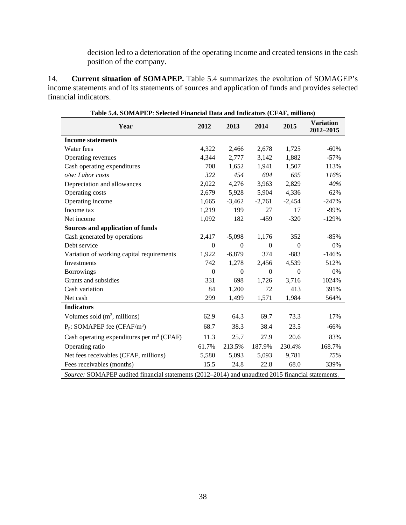decision led to a deterioration of the operating income and created tensions in the cash position of the company.

14. **Current situation of SOMAPEP.** Table 5.4 summarizes the evolution of SOMAGEP's income statements and of its statements of sources and application of funds and provides selected financial indicators.

| Table 5.4. SOMAPEP: Selected Financial Data and Indicators (CPAF, millions)                       |                  |                  |          |          |                               |
|---------------------------------------------------------------------------------------------------|------------------|------------------|----------|----------|-------------------------------|
| Year                                                                                              | 2012             | 2013             | 2014     | 2015     | <b>Variation</b><br>2012-2015 |
| <b>Income statements</b>                                                                          |                  |                  |          |          |                               |
| Water fees                                                                                        | 4,322            | 2,466            | 2,678    | 1,725    | $-60%$                        |
| Operating revenues                                                                                | 4,344            | 2,777            | 3,142    | 1,882    | $-57%$                        |
| Cash operating expenditures                                                                       | 708              | 1,652            | 1,941    | 1,507    | 113%                          |
| o/w: Labor costs                                                                                  | 322              | 454              | 604      | 695      | 116%                          |
| Depreciation and allowances                                                                       | 2,022            | 4,276            | 3,963    | 2,829    | 40%                           |
| Operating costs                                                                                   | 2,679            | 5,928            | 5,904    | 4,336    | 62%                           |
| Operating income                                                                                  | 1,665            | $-3,462$         | $-2,761$ | $-2,454$ | $-247%$                       |
| Income tax                                                                                        | 1,219            | 199              | 27       | 17       | $-99%$                        |
| Net income                                                                                        | 1,092            | 182              | $-459$   | $-320$   | $-129%$                       |
| Sources and application of funds                                                                  |                  |                  |          |          |                               |
| Cash generated by operations                                                                      | 2,417            | $-5,098$         | 1,176    | 352      | $-85%$                        |
| Debt service                                                                                      | $\boldsymbol{0}$ | $\Omega$         | $\Omega$ | $\Omega$ | 0%                            |
| Variation of working capital requirements                                                         | 1,922            | $-6,879$         | 374      | $-883$   | $-146%$                       |
| Investments                                                                                       | 742              | 1,278            | 2,456    | 4,539    | 512%                          |
| <b>Borrowings</b>                                                                                 | $\mathbf{0}$     | $\boldsymbol{0}$ | $\Omega$ | $\Omega$ | 0%                            |
| Grants and subsidies                                                                              | 331              | 698              | 1,726    | 3,716    | 1024%                         |
| Cash variation                                                                                    | 84               | 1,200            | 72       | 413      | 391%                          |
| Net cash                                                                                          | 299              | 1,499            | 1,571    | 1,984    | 564%                          |
| <b>Indicators</b>                                                                                 |                  |                  |          |          |                               |
| Volumes sold $(m^3,$ millions)                                                                    | 62.9             | 64.3             | 69.7     | 73.3     | 17%                           |
| $P_p$ : SOMAPEP fee (CFAF/m <sup>3</sup> )                                                        | 68.7             | 38.3             | 38.4     | 23.5     | $-66%$                        |
| Cash operating expenditures per m <sup>3</sup> (CFAF)                                             | 11.3             | 25.7             | 27.9     | 20.6     | 83%                           |
| Operating ratio                                                                                   | 61.7%            | 213.5%           | 187.9%   | 230.4%   | 168.7%                        |
| Net fees receivables (CFAF, millions)                                                             | 5,580            | 5,093            | 5,093    | 9,781    | 75%                           |
| Fees receivables (months)                                                                         | 15.5             | 24.8             | 22.8     | 68.0     | 339%                          |
| Source: SOMAPEP audited financial statements (2012-2014) and unaudited 2015 financial statements. |                  |                  |          |          |                               |

**Table 5.4. SOMAPEP**: **Selected Financial Data and Indicators (CFAF, millions)**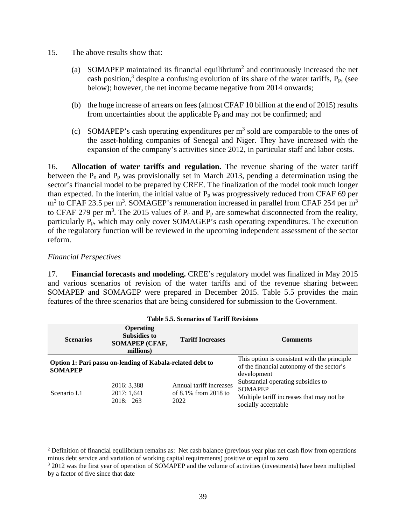- 15. The above results show that:
	- (a) SOMAPEP maintained its financial equilibrium<sup>2</sup> and continuously increased the net cash position,<sup>3</sup> despite a confusing evolution of its share of the water tariffs,  $P_p$ , (see below); however, the net income became negative from 2014 onwards;
	- (b) the huge increase of arrears on fees (almost CFAF 10 billion at the end of 2015) results from uncertainties about the applicable  $P<sub>p</sub>$  and may not be confirmed; and
	- (c) SOMAPEP's cash operating expenditures per  $m<sup>3</sup>$  sold are comparable to the ones of the asset-holding companies of Senegal and Niger. They have increased with the expansion of the company's activities since 2012, in particular staff and labor costs.

16. **Allocation of water tariffs and regulation.** The revenue sharing of the water tariff between the  $P_e$  and  $P_p$  was provisionally set in March 2013, pending a determination using the sector's financial model to be prepared by CREE. The finalization of the model took much longer than expected. In the interim, the initial value of  $P_p$  was progressively reduced from CFAF 69 per  $m<sup>3</sup>$  to CFAF 23.5 per m<sup>3</sup>. SOMAGEP's remuneration increased in parallel from CFAF 254 per m<sup>3</sup> to CFAF 279 per m<sup>3</sup>. The 2015 values of  $P_e$  and  $P_p$  are somewhat disconnected from the reality, particularly Pp, which may only cover SOMAGEP's cash operating expenditures. The execution of the regulatory function will be reviewed in the upcoming independent assessment of the sector reform.

### *Financial Perspectives*

 $\overline{a}$ 

17. **Financial forecasts and modeling.** CREE's regulatory model was finalized in May 2015 and various scenarios of revision of the water tariffs and of the revenue sharing between SOMAPEP and SOMAGEP were prepared in December 2015. Table 5.5 provides the main features of the three scenarios that are being considered for submission to the Government.

| <b>Scenarios</b> | <b>Operating</b><br><b>Subsidies to</b><br>SOMAPEP (CFAF,<br>millions) | <b>Tariff Increases</b>                                    | <b>Comments</b>                                                                                                          |  |  |
|------------------|------------------------------------------------------------------------|------------------------------------------------------------|--------------------------------------------------------------------------------------------------------------------------|--|--|
| <b>SOMAPEP</b>   | Option 1: Pari passu on-lending of Kabala-related debt to              |                                                            | This option is consistent with the principle.<br>of the financial autonomy of the sector's<br>development                |  |  |
| Scenario I.1     | 2016: 3,388<br>2017: 1,641<br>2018: 263                                | Annual tariff increases<br>of $8.1\%$ from 2018 to<br>2022 | Substantial operating subsidies to<br><b>SOMAPEP</b><br>Multiple tariff increases that may not be<br>socially acceptable |  |  |

| <b>Table 5.5. Scenarios of Tariff Revisions</b> |  |  |
|-------------------------------------------------|--|--|
|                                                 |  |  |

<sup>&</sup>lt;sup>2</sup> Definition of financial equilibrium remains as: Net cash balance (previous year plus net cash flow from operations minus debt service and variation of working capital requirements) positive or equal to zero 3

<sup>&</sup>lt;sup>3</sup> 2012 was the first year of operation of SOMAPEP and the volume of activities (investments) have been multiplied by a factor of five since that date